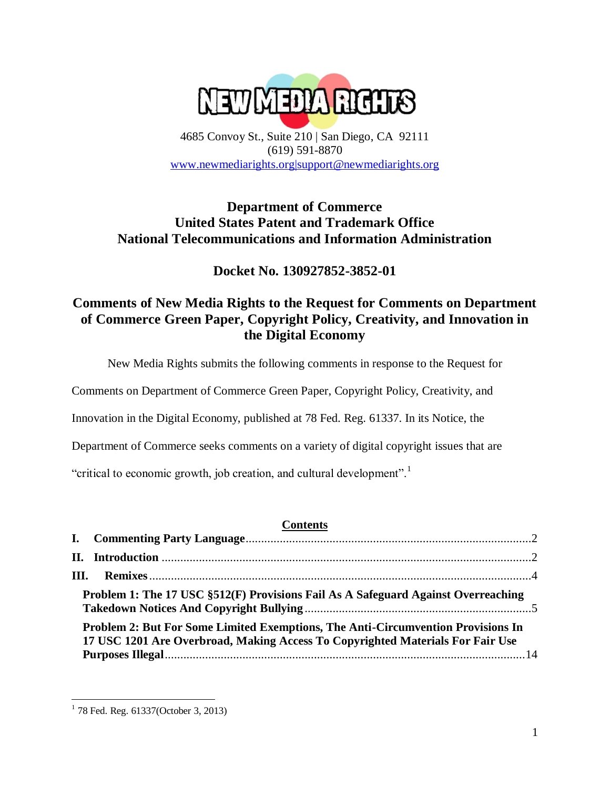**NEWMEDA RIGHTS** 

4685 Convoy St., Suite 210 | San Diego, CA 92111 (619) 591-8870 [www.newmediarights.org|support@newmediarights.org](http://www.newmediarights.org|support@newmediarights.org/)

# **Department of Commerce United States Patent and Trademark Office National Telecommunications and Information Administration**

**Docket No. 130927852-3852-01**

# **Comments of New Media Rights to the Request for Comments on Department of Commerce Green Paper, Copyright Policy, Creativity, and Innovation in the Digital Economy**

New Media Rights submits the following comments in response to the Request for

Comments on Department of Commerce Green Paper, Copyright Policy, Creativity, and

Innovation in the Digital Economy, published at 78 Fed. Reg. 61337. In its Notice, the

Department of Commerce seeks comments on a variety of digital copyright issues that are

"critical to economic growth, job creation, and cultural development".<sup>1</sup>

# **Contents**

| Problem 1: The 17 USC §512(F) Provisions Fail As A Safeguard Against Overreaching                                                                                  |  |
|--------------------------------------------------------------------------------------------------------------------------------------------------------------------|--|
| Problem 2: But For Some Limited Exemptions, The Anti-Circumvention Provisions In<br>17 USC 1201 Are Overbroad, Making Access To Copyrighted Materials For Fair Use |  |

 $\overline{\phantom{a}}$ <sup>1</sup> 78 Fed. Reg. 61337(October 3, 2013)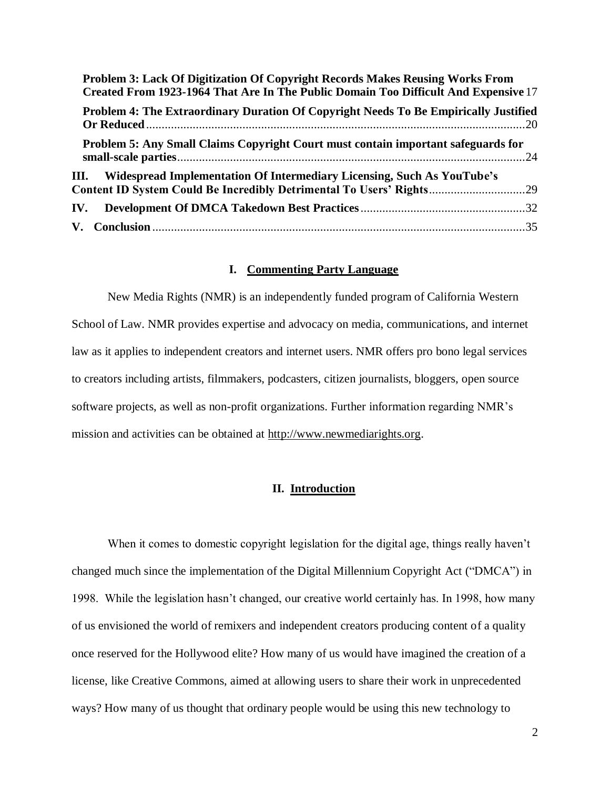| Problem 3: Lack Of Digitization Of Copyright Records Makes Reusing Works From<br>Created From 1923-1964 That Are In The Public Domain Too Difficult And Expensive 17 |  |
|----------------------------------------------------------------------------------------------------------------------------------------------------------------------|--|
| Problem 4: The Extraordinary Duration Of Copyright Needs To Be Empirically Justified                                                                                 |  |
| Problem 5: Any Small Claims Copyright Court must contain important safeguards for                                                                                    |  |
| III. Widespread Implementation Of Intermediary Licensing, Such As YouTube's<br>Content ID System Could Be Incredibly Detrimental To Users' Rights29                  |  |
| IV.                                                                                                                                                                  |  |
|                                                                                                                                                                      |  |

#### **I. Commenting Party Language**

<span id="page-1-0"></span>New Media Rights (NMR) is an independently funded program of California Western School of Law. NMR provides expertise and advocacy on media, communications, and internet law as it applies to independent creators and internet users. NMR offers pro bono legal services to creators including artists, filmmakers, podcasters, citizen journalists, bloggers, open source software projects, as well as non-profit organizations. Further information regarding NMR's mission and activities can be obtained at [http://www.newmediarights.org.](http://www.newmediarights.org/)

#### **II. Introduction**

<span id="page-1-1"></span>When it comes to domestic copyright legislation for the digital age, things really haven't changed much since the implementation of the Digital Millennium Copyright Act ("DMCA") in 1998. While the legislation hasn't changed, our creative world certainly has. In 1998, how many of us envisioned the world of remixers and independent creators producing content of a quality once reserved for the Hollywood elite? How many of us would have imagined the creation of a license, like Creative Commons, aimed at allowing users to share their work in unprecedented ways? How many of us thought that ordinary people would be using this new technology to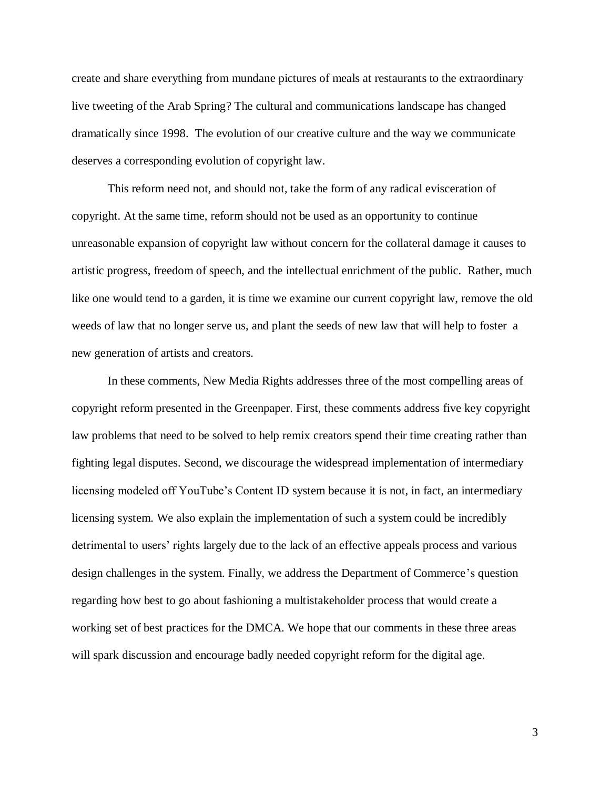create and share everything from mundane pictures of meals at restaurants to the extraordinary live tweeting of the Arab Spring? The cultural and communications landscape has changed dramatically since 1998. The evolution of our creative culture and the way we communicate deserves a corresponding evolution of copyright law.

This reform need not, and should not, take the form of any radical evisceration of copyright. At the same time, reform should not be used as an opportunity to continue unreasonable expansion of copyright law without concern for the collateral damage it causes to artistic progress, freedom of speech, and the intellectual enrichment of the public. Rather, much like one would tend to a garden, it is time we examine our current copyright law, remove the old weeds of law that no longer serve us, and plant the seeds of new law that will help to foster a new generation of artists and creators.

In these comments, New Media Rights addresses three of the most compelling areas of copyright reform presented in the Greenpaper. First, these comments address five key copyright law problems that need to be solved to help remix creators spend their time creating rather than fighting legal disputes. Second, we discourage the widespread implementation of intermediary licensing modeled off YouTube's Content ID system because it is not, in fact, an intermediary licensing system. We also explain the implementation of such a system could be incredibly detrimental to users' rights largely due to the lack of an effective appeals process and various design challenges in the system. Finally, we address the Department of Commerce's question regarding how best to go about fashioning a multistakeholder process that would create a working set of best practices for the DMCA. We hope that our comments in these three areas will spark discussion and encourage badly needed copyright reform for the digital age.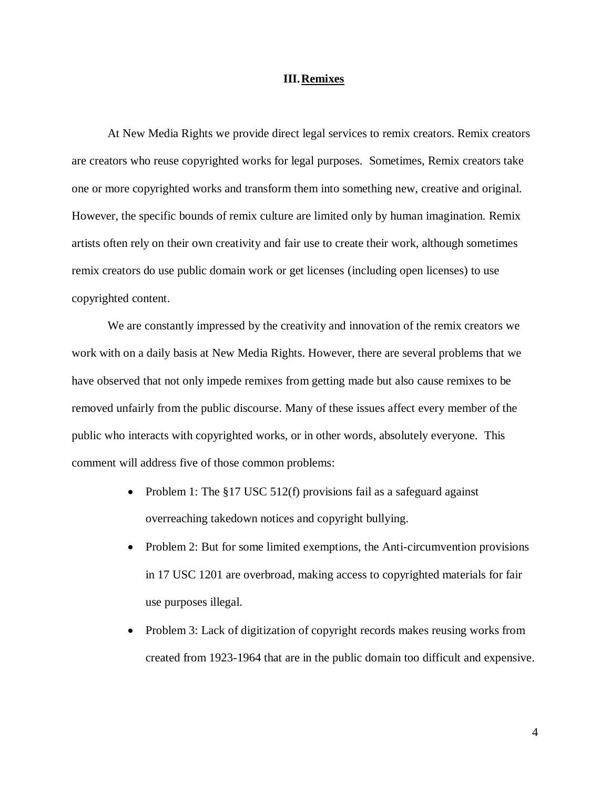#### **III.Remixes**

<span id="page-3-0"></span>At New Media Rights we provide direct legal services to remix creators. Remix creators are creators who reuse copyrighted works for legal purposes. Sometimes, Remix creators take one or more copyrighted works and transform them into something new, creative and original. However, the specific bounds of remix culture are limited only by human imagination. Remix artists often rely on their own creativity and fair use to create their work, although sometimes remix creators do use public domain work or get licenses (including open licenses) to use copyrighted content.

We are constantly impressed by the creativity and innovation of the remix creators we work with on a daily basis at New Media Rights. However, there are several problems that we have observed that not only impede remixes from getting made but also cause remixes to be removed unfairly from the public discourse. Many of these issues affect every member of the public who interacts with copyrighted works, or in other words, absolutely everyone. This comment will address five of those common problems:

- Problem 1: The  $\S17$  USC 512(f) provisions fail as a safeguard against overreaching takedown notices and copyright bullying.
- Problem 2: But for some limited exemptions, the Anti-circumvention provisions in 17 USC 1201 are overbroad, making access to copyrighted materials for fair use purposes illegal.
- Problem 3: Lack of digitization of copyright records makes reusing works from created from 1923-1964 that are in the public domain too difficult and expensive.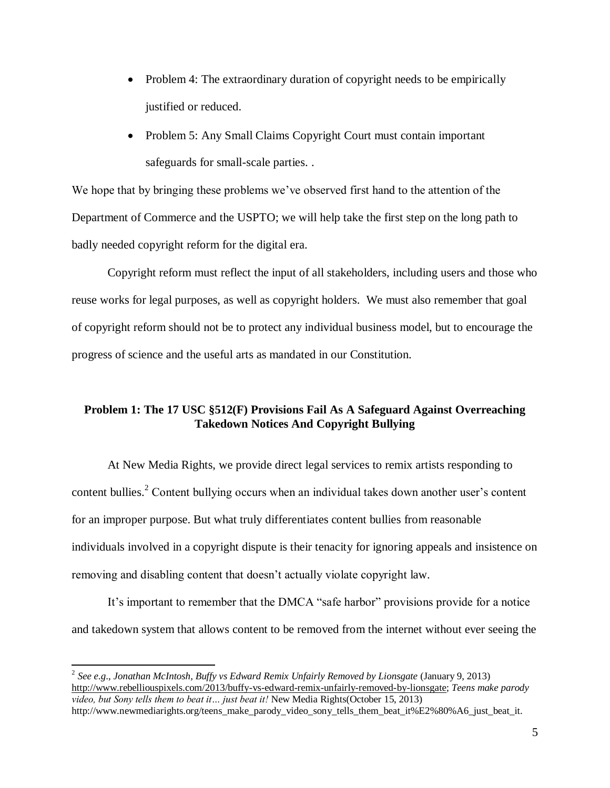- Problem 4: The extraordinary duration of copyright needs to be empirically justified or reduced.
- Problem 5: Any Small Claims Copyright Court must contain important safeguards for small-scale parties. .

We hope that by bringing these problems we've observed first hand to the attention of the Department of Commerce and the USPTO; we will help take the first step on the long path to badly needed copyright reform for the digital era.

Copyright reform must reflect the input of all stakeholders, including users and those who reuse works for legal purposes, as well as copyright holders. We must also remember that goal of copyright reform should not be to protect any individual business model, but to encourage the progress of science and the useful arts as mandated in our Constitution.

# <span id="page-4-0"></span>**Problem 1: The 17 USC §512(F) Provisions Fail As A Safeguard Against Overreaching Takedown Notices And Copyright Bullying**

At New Media Rights, we provide direct legal services to remix artists responding to content bullies.<sup>2</sup> Content bullying occurs when an individual takes down another user's content for an improper purpose. But what truly differentiates content bullies from reasonable individuals involved in a copyright dispute is their tenacity for ignoring appeals and insistence on removing and disabling content that doesn't actually violate copyright law.

It's important to remember that the DMCA "safe harbor" provisions provide for a notice and takedown system that allows content to be removed from the internet without ever seeing the

<sup>2</sup> *See e.g*., *Jonathan McIntosh, Buffy vs Edward Remix Unfairly Removed by Lionsgate* (January 9, 2013) [http://www.rebelliouspixels.com/2013/buffy-vs-edward-remix-unfairly-removed-by-lionsgate;](http://www.rebelliouspixels.com/2013/buffy-vs-edward-remix-unfairly-removed-by-lionsgate) *Teens make parody video, but Sony tells them to beat it… just beat it!* New Media Rights(October 15, 2013) http://www.newmediarights.org/teens\_make\_parody\_video\_sony\_tells\_them\_beat\_it%E2%80%A6\_just\_beat\_it.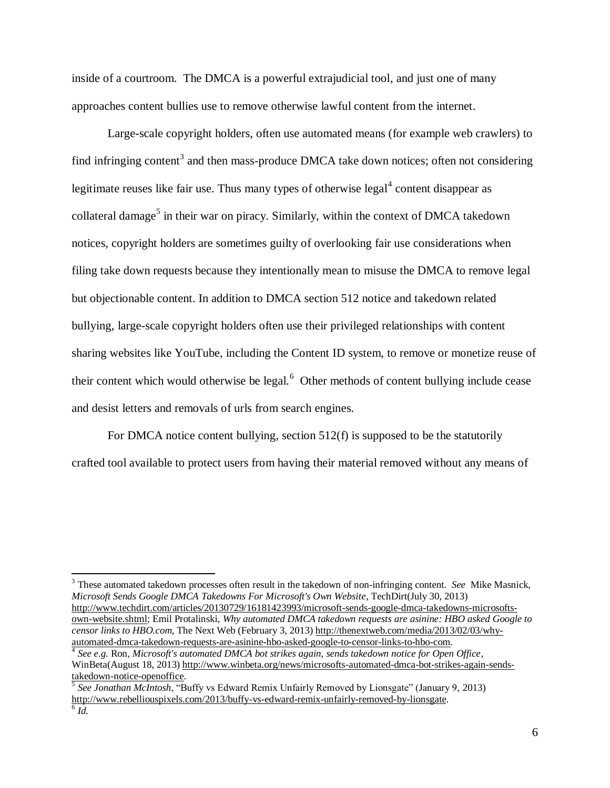inside of a courtroom. The DMCA is a powerful extrajudicial tool, and just one of many approaches content bullies use to remove otherwise lawful content from the internet.

Large-scale copyright holders, often use automated means (for example web crawlers) to find infringing content<sup>3</sup> and then mass-produce DMCA take down notices; often not considering legitimate reuses like fair use. Thus many types of otherwise  $\text{legal}^4$  content disappear as collateral damage<sup>5</sup> in their war on piracy. Similarly, within the context of DMCA takedown notices, copyright holders are sometimes guilty of overlooking fair use considerations when filing take down requests because they intentionally mean to misuse the DMCA to remove legal but objectionable content. In addition to DMCA section 512 notice and takedown related bullying, large-scale copyright holders often use their privileged relationships with content sharing websites like YouTube, including the Content ID system, to remove or monetize reuse of their content which would otherwise be legal. $<sup>6</sup>$  Other methods of content bullying include cease</sup> and desist letters and removals of urls from search engines.

For DMCA notice content bullying, section 512(f) is supposed to be the statutorily crafted tool available to protect users from having their material removed without any means of

<sup>3</sup> These automated takedown processes often result in the takedown of non-infringing content. *See* Mike Masnick, *Microsoft Sends Google DMCA Takedowns For Microsoft's Own Website*, TechDirt(July 30, 2013) [http://www.techdirt.com/articles/20130729/16181423993/microsoft-sends-google-dmca-takedowns-microsofts](http://www.techdirt.com/articles/20130729/16181423993/microsoft-sends-google-dmca-takedowns-microsofts-own-website.shtml)[own-website.shtml;](http://www.techdirt.com/articles/20130729/16181423993/microsoft-sends-google-dmca-takedowns-microsofts-own-website.shtml) Emil Protalinski, *Why automated DMCA takedown requests are asinine: HBO asked Google to censor links to HBO.com*, The Next Web (February 3, 2013[\) http://thenextweb.com/media/2013/02/03/why](http://thenextweb.com/media/2013/02/03/why-automated-dmca-takedown-requests-are-asinine-hbo-asked-google-to-censor-links-to-hbo-com)[automated-dmca-takedown-requests-are-asinine-hbo-asked-google-to-censor-links-to-hbo-com.](http://thenextweb.com/media/2013/02/03/why-automated-dmca-takedown-requests-are-asinine-hbo-asked-google-to-censor-links-to-hbo-com)

4 *See e.g.* Ron*, Microsoft's automated DMCA bot strikes again, sends takedown notice for Open Office*, WinBeta(August 18, 2013) [http://www.winbeta.org/news/microsofts-automated-dmca-bot-strikes-again-sends](http://www.winbeta.org/news/microsofts-automated-dmca-bot-strikes-again-sends-takedown-notice-openoffice)[takedown-notice-openoffice.](http://www.winbeta.org/news/microsofts-automated-dmca-bot-strikes-again-sends-takedown-notice-openoffice)

5 *See Jonathan McIntosh*, "Buffy vs Edward Remix Unfairly Removed by Lionsgate" (January 9, 2013) [http://www.rebelliouspixels.com/2013/buffy-vs-edward-remix-unfairly-removed-by-lionsgate.](http://www.rebelliouspixels.com/2013/buffy-vs-edward-remix-unfairly-removed-by-lionsgate)  $\overline{6}$   $\overline{Id}$ .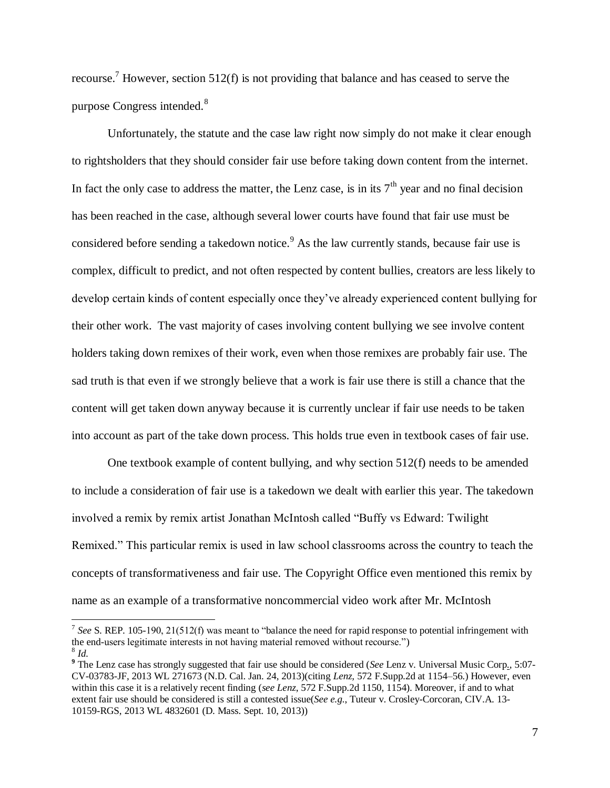recourse.<sup>7</sup> However, section 512(f) is not providing that balance and has ceased to serve the purpose Congress intended.<sup>8</sup>

Unfortunately, the statute and the case law right now simply do not make it clear enough to rightsholders that they should consider fair use before taking down content from the internet. In fact the only case to address the matter, the Lenz case, is in its  $7<sup>th</sup>$  year and no final decision has been reached in the case, although several lower courts have found that fair use must be considered before sending a takedown notice.<sup>9</sup> As the law currently stands, because fair use is complex, difficult to predict, and not often respected by content bullies, creators are less likely to develop certain kinds of content especially once they've already experienced content bullying for their other work. The vast majority of cases involving content bullying we see involve content holders taking down remixes of their work, even when those remixes are probably fair use. The sad truth is that even if we strongly believe that a work is fair use there is still a chance that the content will get taken down anyway because it is currently unclear if fair use needs to be taken into account as part of the take down process. This holds true even in textbook cases of fair use.

One textbook example of content bullying, and why section 512(f) needs to be amended to include a consideration of fair use is a takedown we dealt with earlier this year. The takedown involved a remix by remix artist Jonathan McIntosh called "Buffy vs Edward: Twilight Remixed." This particular remix is used in law school classrooms across the country to teach the concepts of transformativeness and fair use. The Copyright Office even mentioned this remix by name as an example of a transformative noncommercial video work after Mr. McIntosh

<sup>&</sup>lt;sup>7</sup> See S. REP. 105-190, 21(512(f) was meant to "balance the need for rapid response to potential infringement with the end-users legitimate interests in not having material removed without recourse.") 8 *Id.*

**<sup>9</sup>** The Lenz case has strongly suggested that fair use should be considered (*See* Lenz v. Universal Music Corp., 5:07- CV-03783-JF, 2013 WL 271673 (N.D. Cal. Jan. 24, 2013)(citing *Lenz,* 572 F.Supp.2d at 1154–56.) However, even within this case it is a relatively recent finding (*see Lenz*, 572 F.Supp.2d 1150, 1154). Moreover, if and to what extent fair use should be considered is still a contested issue(*See e.g*., Tuteur v. Crosley-Corcoran, CIV.A. 13- 10159-RGS, 2013 WL 4832601 (D. Mass. Sept. 10, 2013))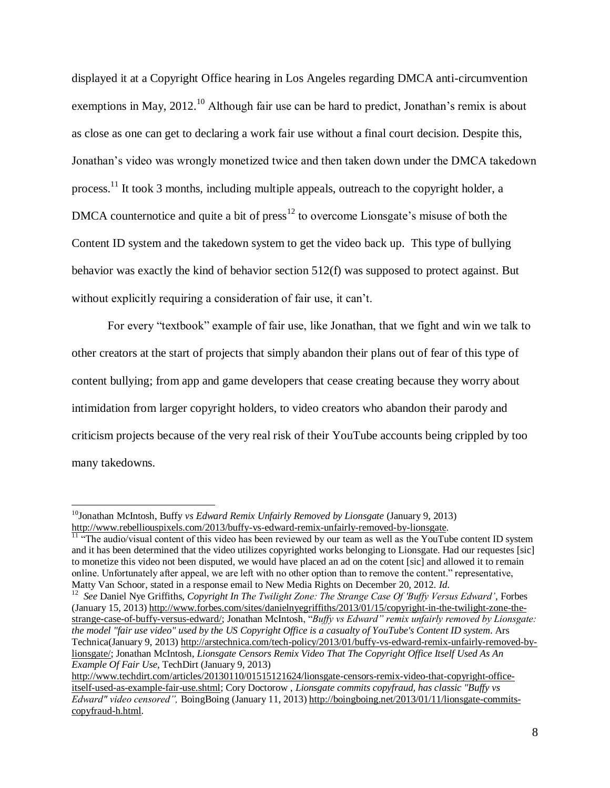displayed it at a Copyright Office hearing in Los Angeles regarding DMCA anti-circumvention exemptions in May, 2012.<sup>10</sup> Although fair use can be hard to predict, Jonathan's remix is about as close as one can get to declaring a work fair use without a final court decision. Despite this, Jonathan's video was wrongly monetized twice and then taken down under the DMCA takedown process.<sup>11</sup> It took 3 months, including multiple appeals, outreach to the copyright holder, a DMCA counternotice and quite a bit of press<sup>12</sup> to overcome Lionsgate's misuse of both the Content ID system and the takedown system to get the video back up. This type of bullying behavior was exactly the kind of behavior section 512(f) was supposed to protect against. But without explicitly requiring a consideration of fair use, it can't.

For every "textbook" example of fair use, like Jonathan, that we fight and win we talk to other creators at the start of projects that simply abandon their plans out of fear of this type of content bullying; from app and game developers that cease creating because they worry about intimidation from larger copyright holders, to video creators who abandon their parody and criticism projects because of the very real risk of their YouTube accounts being crippled by too many takedowns.

<sup>&</sup>lt;sup>10</sup>Jonathan McIntosh, Buffy *vs Edward Remix Unfairly Removed by Lionsgate* (January 9, 2013) [http://www.rebelliouspixels.com/2013/buffy-vs-edward-remix-unfairly-removed-by-lionsgate.](http://www.rebelliouspixels.com/2013/buffy-vs-edward-remix-unfairly-removed-by-lionsgate)

 $\frac{11}{11}$  "The audio/visual content of this video has been reviewed by our team as well as the YouTube content ID system and it has been determined that the video utilizes copyrighted works belonging to Lionsgate. Had our requestes [sic] to monetize this video not been disputed, we would have placed an ad on the cotent [sic] and allowed it to remain online. Unfortunately after appeal, we are left with no other option than to remove the content." representative, Matty Van Schoor, stated in a response email to New Media Rights on December 20, 2012. *Id.* 

<sup>12</sup> *See* Daniel Nye Griffiths, *Copyright In The Twilight Zone: The Strange Case Of 'Buffy Versus Edward'*, Forbes (January 15, 2013) [http://www.forbes.com/sites/danielnyegriffiths/2013/01/15/copyright-in-the-twilight-zone-the](http://www.forbes.com/sites/danielnyegriffiths/2013/01/15/copyright-in-the-twilight-zone-the-strange-case-of-buffy-versus-edward/)[strange-case-of-buffy-versus-edward/;](http://www.forbes.com/sites/danielnyegriffiths/2013/01/15/copyright-in-the-twilight-zone-the-strange-case-of-buffy-versus-edward/) Jonathan McIntosh, "*Buffy vs Edward" remix unfairly removed by Lionsgate: the model "fair use video" used by the US Copyright Office is a casualty of YouTube's Content ID system*. Ars Technica(January 9, 2013) [http://arstechnica.com/tech-policy/2013/01/buffy-vs-edward-remix-unfairly-removed-by](http://arstechnica.com/tech-policy/2013/01/buffy-vs-edward-remix-unfairly-removed-by-lionsgate/)[lionsgate/;](http://arstechnica.com/tech-policy/2013/01/buffy-vs-edward-remix-unfairly-removed-by-lionsgate/) Jonathan McIntosh, *Lionsgate Censors Remix Video That The Copyright Office Itself Used As An Example Of Fair Use*, TechDirt (January 9, 2013)

[http://www.techdirt.com/articles/20130110/01515121624/lionsgate-censors-remix-video-that-copyright-office](http://www.techdirt.com/articles/20130110/01515121624/lionsgate-censors-remix-video-that-copyright-office-itself-used-as-example-fair-use.shtml)[itself-used-as-example-fair-use.shtml;](http://www.techdirt.com/articles/20130110/01515121624/lionsgate-censors-remix-video-that-copyright-office-itself-used-as-example-fair-use.shtml) Cory Doctorow , *Lionsgate commits copyfraud, has classic "Buffy vs Edward" video censored",* BoingBoing (January 11, 2013[\) http://boingboing.net/2013/01/11/lionsgate-commits](http://boingboing.net/2013/01/11/lionsgate-commits-copyfraud-h.html)[copyfraud-h.html.](http://boingboing.net/2013/01/11/lionsgate-commits-copyfraud-h.html)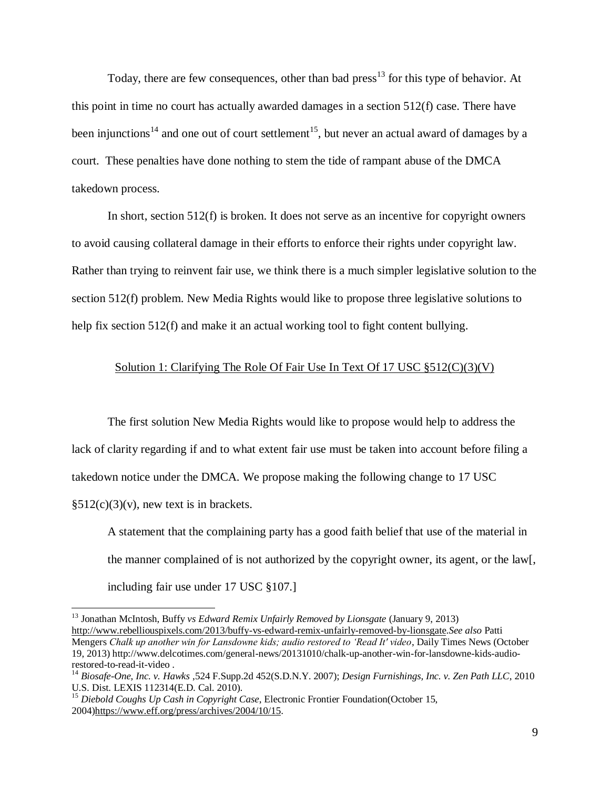Today, there are few consequences, other than bad  ${\rm press}^{13}$  for this type of behavior. At this point in time no court has actually awarded damages in a section 512(f) case. There have been injunctions<sup>14</sup> and one out of court settlement<sup>15</sup>, but never an actual award of damages by a court. These penalties have done nothing to stem the tide of rampant abuse of the DMCA takedown process.

In short, section 512(f) is broken. It does not serve as an incentive for copyright owners to avoid causing collateral damage in their efforts to enforce their rights under copyright law. Rather than trying to reinvent fair use, we think there is a much simpler legislative solution to the section 512(f) problem. New Media Rights would like to propose three legislative solutions to help fix section 512(f) and make it an actual working tool to fight content bullying.

### Solution 1: Clarifying The Role Of Fair Use In Text Of 17 USC §512(C)(3)(V)

The first solution New Media Rights would like to propose would help to address the lack of clarity regarding if and to what extent fair use must be taken into account before filing a takedown notice under the DMCA. We propose making the following change to 17 USC  $§512(c)(3)(v)$ , new text is in brackets.

A statement that the complaining party has a good faith belief that use of the material in the manner complained of is not authorized by the copyright owner, its agent, or the law[, including fair use under 17 USC §107.]

<sup>13</sup> Jonathan McIntosh, Buffy *vs Edward Remix Unfairly Removed by Lionsgate* (January 9, 2013) [http://www.rebelliouspixels.com/2013/buffy-vs-edward-remix-unfairly-removed-by-lionsgate.](http://www.rebelliouspixels.com/2013/buffy-vs-edward-remix-unfairly-removed-by-lionsgate)*See also* Patti Mengers *Chalk up another win for Lansdowne kids; audio restored to 'Read It' video*, Daily Times News (October 19, 2013) http://www.delcotimes.com/general-news/20131010/chalk-up-another-win-for-lansdowne-kids-audiorestored-to-read-it-video .

<sup>14</sup> *Biosafe-One, Inc. v. Hawks* ,524 F.Supp.2d 452(S.D.N.Y. 2007); *Design Furnishings, Inc. v. Zen Path LLC*, 2010 U.S. Dist. LEXIS 112314(E.D. Cal. 2010).

<sup>15</sup> *Diebold Coughs Up Cash in Copyright Case*, Electronic Frontier Foundation(October 15, 2004[\)https://www.eff.org/press/archives/2004/10/15.](https://www.eff.org/press/archives/2004/10/15)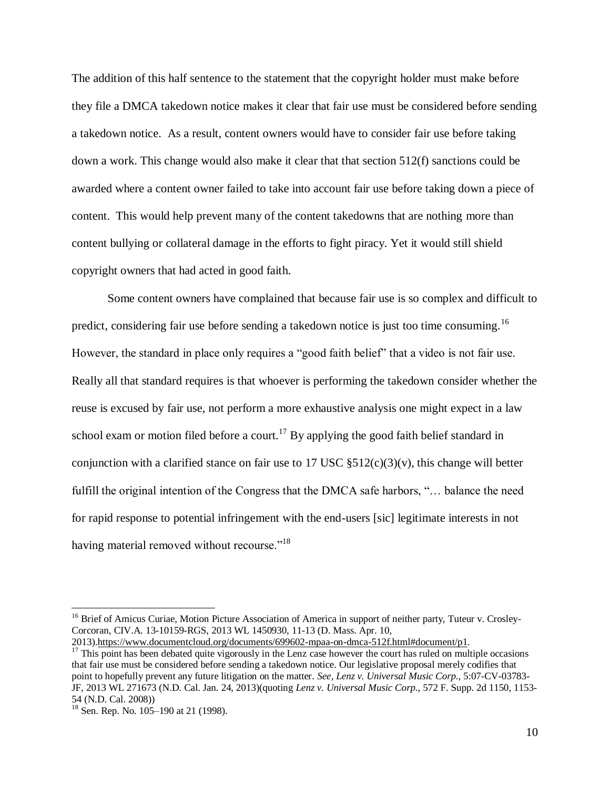The addition of this half sentence to the statement that the copyright holder must make before they file a DMCA takedown notice makes it clear that fair use must be considered before sending a takedown notice. As a result, content owners would have to consider fair use before taking down a work. This change would also make it clear that that section 512(f) sanctions could be awarded where a content owner failed to take into account fair use before taking down a piece of content. This would help prevent many of the content takedowns that are nothing more than content bullying or collateral damage in the efforts to fight piracy. Yet it would still shield copyright owners that had acted in good faith.

Some content owners have complained that because fair use is so complex and difficult to predict, considering fair use before sending a takedown notice is just too time consuming.<sup>16</sup> However, the standard in place only requires a "good faith belief" that a video is not fair use. Really all that standard requires is that whoever is performing the takedown consider whether the reuse is excused by fair use, not perform a more exhaustive analysis one might expect in a law school exam or motion filed before a court.<sup>17</sup> By applying the good faith belief standard in conjunction with a clarified stance on fair use to 17 USC  $\S512(c)(3)(v)$ , this change will better fulfill the original intention of the Congress that the DMCA safe harbors, "… balance the need for rapid response to potential infringement with the end-users [sic] legitimate interests in not having material removed without recourse."<sup>18</sup>

<sup>&</sup>lt;sup>16</sup> Brief of Amicus Curiae, Motion Picture Association of America in support of neither party, Tuteur v. Crosley-Corcoran, CIV.A. 13-10159-RGS, 2013 WL 1450930, 11-13 (D. Mass. Apr. 10,

<sup>2013)</sup>[.https://www.documentcloud.org/documents/699602-mpaa-on-dmca-512f.html#document/p1.](https://www.documentcloud.org/documents/699602-mpaa-on-dmca-512f.html%23document/p1) <sup>17</sup> This point has been debated quite vigorously in the Lenz case however the court has ruled on multiple occasions that fair use must be considered before sending a takedown notice. Our legislative proposal merely codifies that point to hopefully prevent any future litigation on the matter. *See, Lenz v. Universal Music Corp.,* 5:07-CV-03783- JF, 2013 WL 271673 (N.D. Cal. Jan. 24, 2013)(quoting *Lenz v. Universal Music Corp.,* 572 F. Supp. 2d 1150, 1153- 54 (N.D. Cal. 2008))

 $18$  Sen. Rep. No. 105–190 at 21 (1998).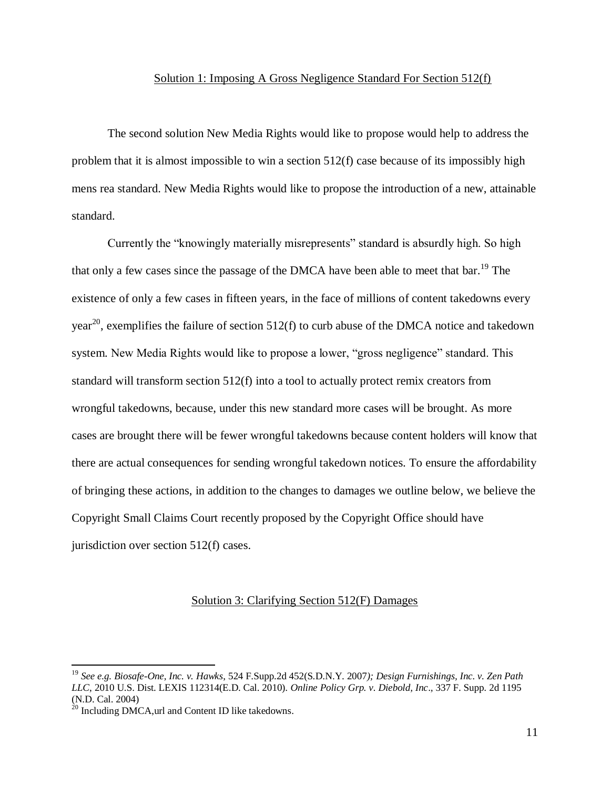#### Solution 1: Imposing A Gross Negligence Standard For Section 512(f)

The second solution New Media Rights would like to propose would help to address the problem that it is almost impossible to win a section 512(f) case because of its impossibly high mens rea standard. New Media Rights would like to propose the introduction of a new, attainable standard.

Currently the "knowingly materially misrepresents" standard is absurdly high. So high that only a few cases since the passage of the DMCA have been able to meet that bar.<sup>19</sup> The existence of only a few cases in fifteen years, in the face of millions of content takedowns every year<sup>20</sup>, exemplifies the failure of section 512(f) to curb abuse of the DMCA notice and takedown system. New Media Rights would like to propose a lower, "gross negligence" standard. This standard will transform section 512(f) into a tool to actually protect remix creators from wrongful takedowns, because, under this new standard more cases will be brought. As more cases are brought there will be fewer wrongful takedowns because content holders will know that there are actual consequences for sending wrongful takedown notices. To ensure the affordability of bringing these actions, in addition to the changes to damages we outline below, we believe the Copyright Small Claims Court recently proposed by the Copyright Office should have jurisdiction over section 512(f) cases.

#### Solution 3: Clarifying Section 512(F) Damages

<sup>19</sup> *See e.g. Biosafe-One, Inc. v. Hawks*, 524 F.Supp.2d 452(S.D.N.Y. 2007*); Design Furnishings, Inc. v. Zen Path LLC*, 2010 U.S. Dist. LEXIS 112314(E.D. Cal. 2010). *Online Policy Grp. v. Diebold, Inc*.*,* 337 F. Supp. 2d 1195 (N.D. Cal. 2004)

 $^{20}$  Including DMCA, url and Content ID like takedowns.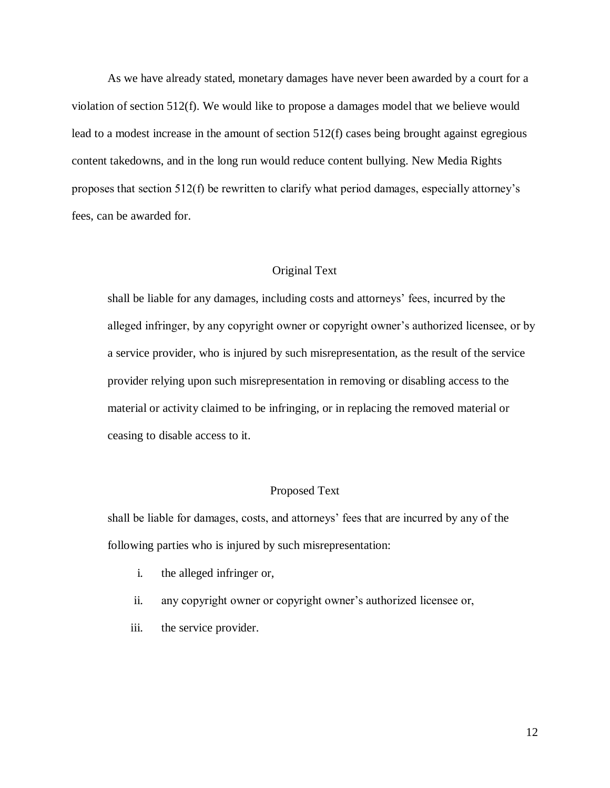As we have already stated, monetary damages have never been awarded by a court for a violation of section 512(f). We would like to propose a damages model that we believe would lead to a modest increase in the amount of section 512(f) cases being brought against egregious content takedowns, and in the long run would reduce content bullying. New Media Rights proposes that section 512(f) be rewritten to clarify what period damages, especially attorney's fees, can be awarded for.

### Original Text

shall be liable for any damages, including costs and attorneys' fees, incurred by the alleged infringer, by any copyright owner or copyright owner's authorized licensee, or by a service provider, who is injured by such misrepresentation, as the result of the service provider relying upon such misrepresentation in removing or disabling access to the material or activity claimed to be infringing, or in replacing the removed material or ceasing to disable access to it.

#### Proposed Text

shall be liable for damages, costs, and attorneys' fees that are incurred by any of the following parties who is injured by such misrepresentation:

- i. the alleged infringer or,
- ii. any copyright owner or copyright owner's authorized licensee or,
- iii. the service provider.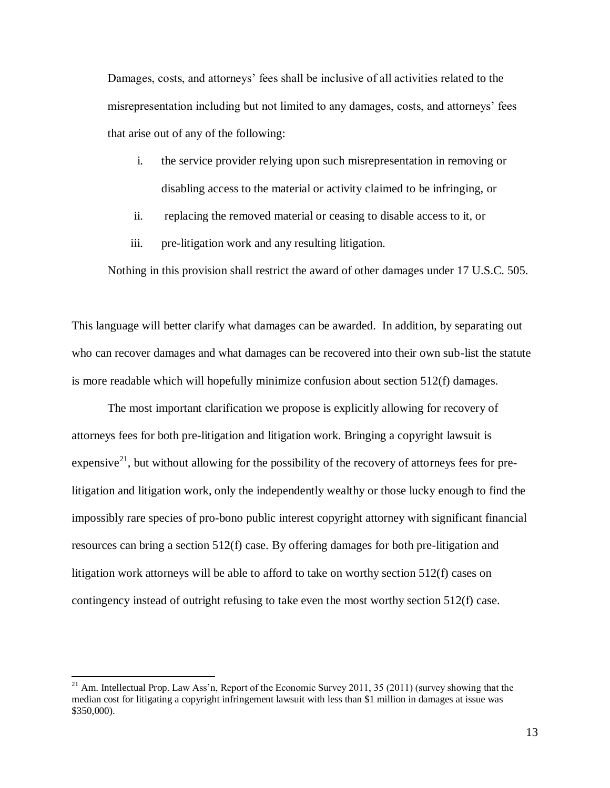Damages, costs, and attorneys' fees shall be inclusive of all activities related to the misrepresentation including but not limited to any damages, costs, and attorneys' fees that arise out of any of the following:

- i. the service provider relying upon such misrepresentation in removing or disabling access to the material or activity claimed to be infringing, or
- ii. replacing the removed material or ceasing to disable access to it, or
- iii. pre-litigation work and any resulting litigation.

Nothing in this provision shall restrict the award of other damages under 17 U.S.C. 505.

This language will better clarify what damages can be awarded. In addition, by separating out who can recover damages and what damages can be recovered into their own sub-list the statute is more readable which will hopefully minimize confusion about section 512(f) damages.

The most important clarification we propose is explicitly allowing for recovery of attorneys fees for both pre-litigation and litigation work. Bringing a copyright lawsuit is expensive<sup>21</sup>, but without allowing for the possibility of the recovery of attorneys fees for prelitigation and litigation work, only the independently wealthy or those lucky enough to find the impossibly rare species of pro-bono public interest copyright attorney with significant financial resources can bring a section 512(f) case. By offering damages for both pre-litigation and litigation work attorneys will be able to afford to take on worthy section 512(f) cases on contingency instead of outright refusing to take even the most worthy section 512(f) case.

 $21$  Am. Intellectual Prop. Law Ass'n, Report of the Economic Survey 2011, 35 (2011) (survey showing that the median cost for litigating a copyright infringement lawsuit with less than \$1 million in damages at issue was \$350,000).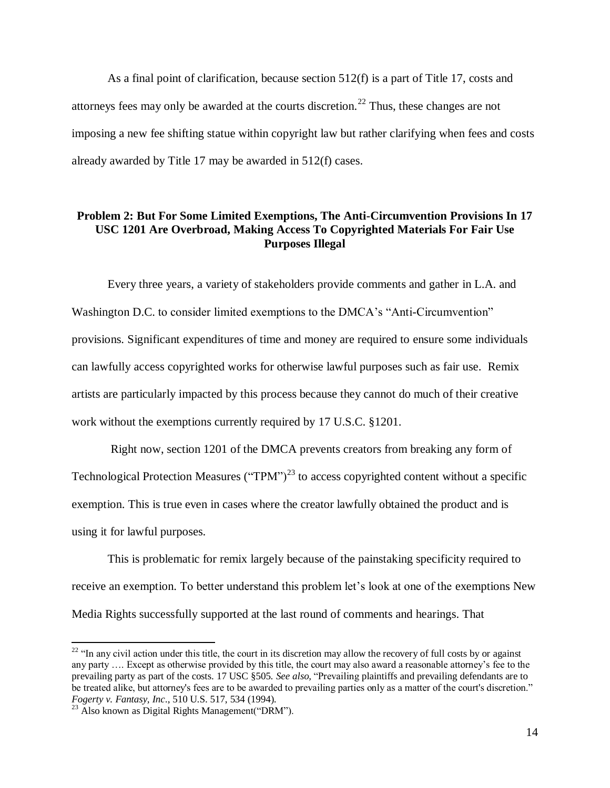As a final point of clarification, because section 512(f) is a part of Title 17, costs and attorneys fees may only be awarded at the courts discretion.<sup>22</sup> Thus, these changes are not imposing a new fee shifting statue within copyright law but rather clarifying when fees and costs already awarded by Title 17 may be awarded in 512(f) cases.

### <span id="page-13-0"></span>**Problem 2: But For Some Limited Exemptions, The Anti-Circumvention Provisions In 17 USC 1201 Are Overbroad, Making Access To Copyrighted Materials For Fair Use Purposes Illegal**

Every three years, a variety of stakeholders provide comments and gather in L.A. and Washington D.C. to consider limited exemptions to the DMCA's "Anti-Circumvention" provisions. Significant expenditures of time and money are required to ensure some individuals can lawfully access copyrighted works for otherwise lawful purposes such as fair use. Remix artists are particularly impacted by this process because they cannot do much of their creative work without the exemptions currently required by 17 U.S.C. §1201.

Right now, section 1201 of the DMCA prevents creators from breaking any form of Technological Protection Measures ("TPM")<sup>23</sup> to access copyrighted content without a specific exemption. This is true even in cases where the creator lawfully obtained the product and is using it for lawful purposes.

This is problematic for remix largely because of the painstaking specificity required to receive an exemption. To better understand this problem let's look at one of the exemptions New Media Rights successfully supported at the last round of comments and hearings. That

 $22$  "In any civil action under this title, the court in its discretion may allow the recovery of full costs by or against any party …. Except as otherwise provided by this title, the court may also award a reasonable attorney's fee to the prevailing party as part of the costs. 17 USC §505. *See also,* "Prevailing plaintiffs and prevailing defendants are to be treated alike, but attorney's fees are to be awarded to prevailing parties only as a matter of the court's discretion." *Fogerty v. Fantasy, Inc*., 510 U.S. 517, 534 (1994).

 $^{23}$  Also known as Digital Rights Management("DRM").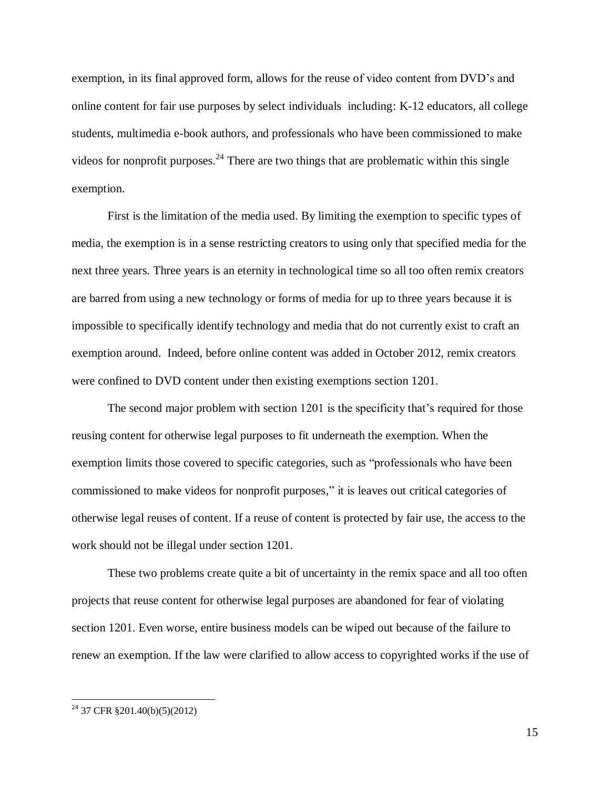exemption, in its final approved form, allows for the reuse of video content from DVD's and online content for fair use purposes by select individuals including: K-12 educators, all college students, multimedia e-book authors, and professionals who have been commissioned to make videos for nonprofit purposes.<sup>24</sup> There are two things that are problematic within this single exemption.

First is the limitation of the media used. By limiting the exemption to specific types of media, the exemption is in a sense restricting creators to using only that specified media for the next three years. Three years is an eternity in technological time so all too often remix creators are barred from using a new technology or forms of media for up to three years because it is impossible to specifically identify technology and media that do not currently exist to craft an exemption around. Indeed, before online content was added in October 2012, remix creators were confined to DVD content under then existing exemptions section 1201.

The second major problem with section 1201 is the specificity that's required for those reusing content for otherwise legal purposes to fit underneath the exemption. When the exemption limits those covered to specific categories, such as "professionals who have been commissioned to make videos for nonprofit purposes," it is leaves out critical categories of otherwise legal reuses of content. If a reuse of content is protected by fair use, the access to the work should not be illegal under section 1201.

These two problems create quite a bit of uncertainty in the remix space and all too often projects that reuse content for otherwise legal purposes are abandoned for fear of violating section 1201. Even worse, entire business models can be wiped out because of the failure to renew an exemption. If the law were clarified to allow access to copyrighted works if the use of

 $^{24}$  37 CFR §201.40(b)(5)(2012)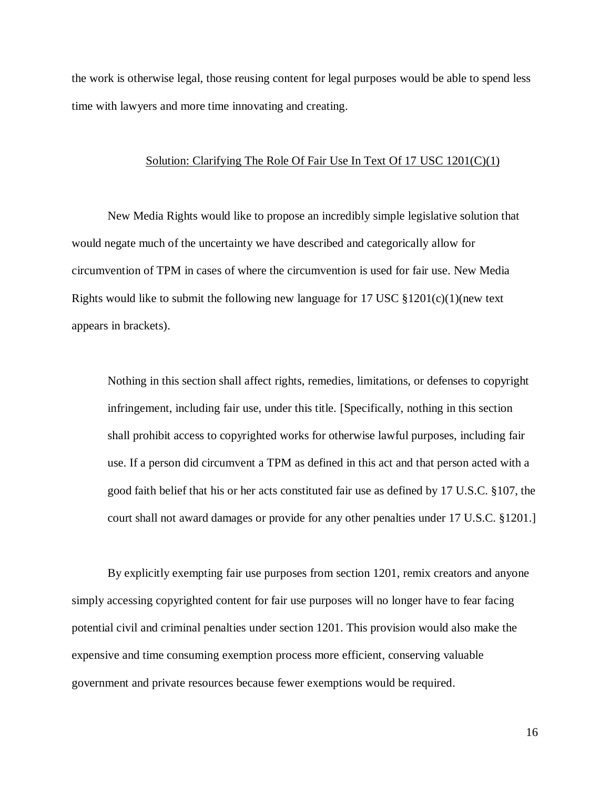the work is otherwise legal, those reusing content for legal purposes would be able to spend less time with lawyers and more time innovating and creating.

#### Solution: Clarifying The Role Of Fair Use In Text Of 17 USC 1201(C)(1)

New Media Rights would like to propose an incredibly simple legislative solution that would negate much of the uncertainty we have described and categorically allow for circumvention of TPM in cases of where the circumvention is used for fair use. New Media Rights would like to submit the following new language for 17 USC  $\S 1201(c)(1)$  (new text appears in brackets).

Nothing in this section shall affect rights, remedies, limitations, or defenses to copyright infringement, including fair use, under this title. [Specifically, nothing in this section shall prohibit access to copyrighted works for otherwise lawful purposes, including fair use. If a person did circumvent a TPM as defined in this act and that person acted with a good faith belief that his or her acts constituted fair use as defined by 17 U.S.C. §107, the court shall not award damages or provide for any other penalties under 17 U.S.C. §1201.]

By explicitly exempting fair use purposes from section 1201, remix creators and anyone simply accessing copyrighted content for fair use purposes will no longer have to fear facing potential civil and criminal penalties under section 1201. This provision would also make the expensive and time consuming exemption process more efficient, conserving valuable government and private resources because fewer exemptions would be required.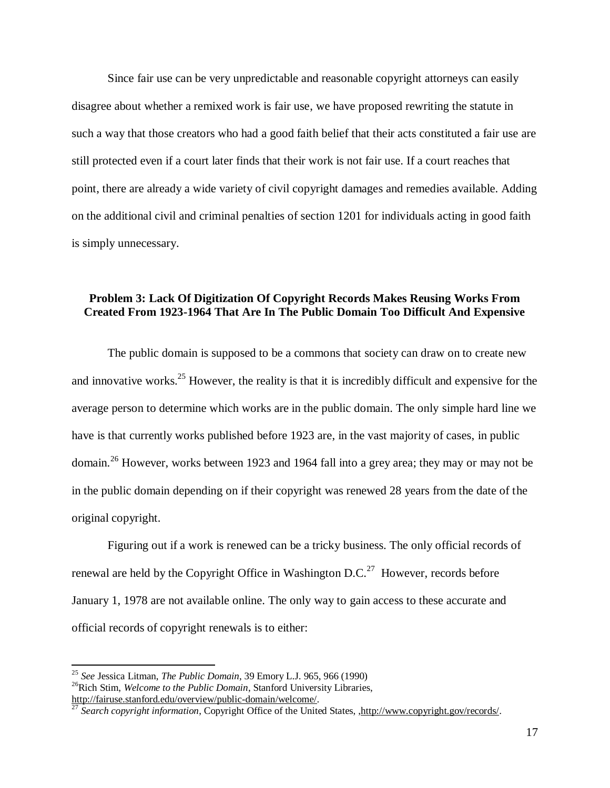Since fair use can be very unpredictable and reasonable copyright attorneys can easily disagree about whether a remixed work is fair use, we have proposed rewriting the statute in such a way that those creators who had a good faith belief that their acts constituted a fair use are still protected even if a court later finds that their work is not fair use. If a court reaches that point, there are already a wide variety of civil copyright damages and remedies available. Adding on the additional civil and criminal penalties of section 1201 for individuals acting in good faith is simply unnecessary.

# <span id="page-16-0"></span>**Problem 3: Lack Of Digitization Of Copyright Records Makes Reusing Works From Created From 1923-1964 That Are In The Public Domain Too Difficult And Expensive**

The public domain is supposed to be a commons that society can draw on to create new and innovative works.<sup>25</sup> However, the reality is that it is incredibly difficult and expensive for the average person to determine which works are in the public domain. The only simple hard line we have is that currently works published before 1923 are, in the vast majority of cases, in public domain.<sup>26</sup> However, works between 1923 and 1964 fall into a grey area; they may or may not be in the public domain depending on if their copyright was renewed 28 years from the date of the original copyright.

Figuring out if a work is renewed can be a tricky business. The only official records of renewal are held by the Copyright Office in Washington D.C. $^{27}$  However, records before January 1, 1978 are not available online. The only way to gain access to these accurate and official records of copyright renewals is to either:

<sup>25</sup> *See* Jessica Litman, *The Public Domain*, 39 Emory L.J. 965, 966 (1990)

<sup>26</sup>Rich Stim, *Welcome to the Public Domain*, Stanford University Libraries, [http://fairuse.stanford.edu/overview/public-domain/welcome/.](http://fairuse.stanford.edu/overview/public-domain/welcome/)

<sup>&</sup>lt;sup>27</sup> Search copyright information, Copyright Office of the United States, , http://www.copyright.gov/records/.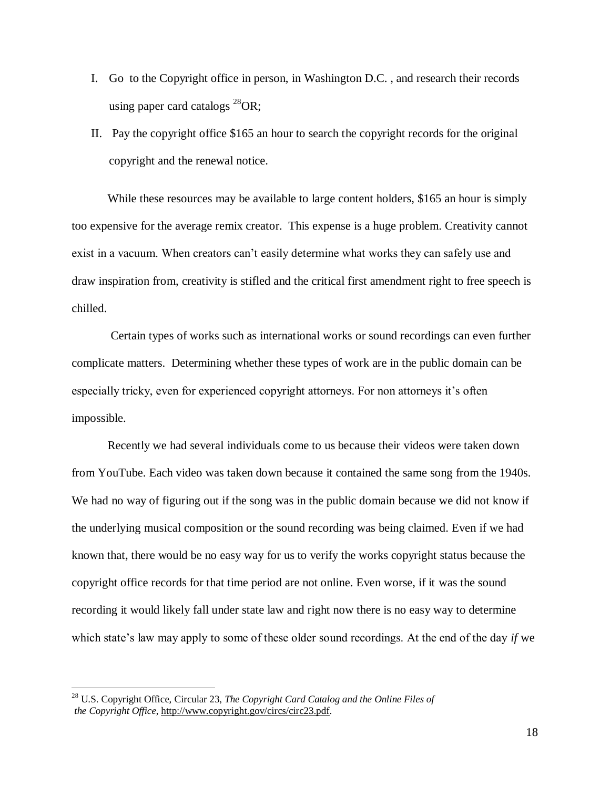- I. Go to the Copyright office in person, in Washington D.C. , and research their records using paper card catalogs  $^{28}$ OR;
- II. Pay the copyright office \$165 an hour to search the copyright records for the original copyright and the renewal notice.

While these resources may be available to large content holders, \$165 an hour is simply too expensive for the average remix creator. This expense is a huge problem. Creativity cannot exist in a vacuum. When creators can't easily determine what works they can safely use and draw inspiration from, creativity is stifled and the critical first amendment right to free speech is chilled.

Certain types of works such as international works or sound recordings can even further complicate matters. Determining whether these types of work are in the public domain can be especially tricky, even for experienced copyright attorneys. For non attorneys it's often impossible.

Recently we had several individuals come to us because their videos were taken down from YouTube. Each video was taken down because it contained the same song from the 1940s. We had no way of figuring out if the song was in the public domain because we did not know if the underlying musical composition or the sound recording was being claimed. Even if we had known that, there would be no easy way for us to verify the works copyright status because the copyright office records for that time period are not online. Even worse, if it was the sound recording it would likely fall under state law and right now there is no easy way to determine which state's law may apply to some of these older sound recordings. At the end of the day *if* we

<sup>28</sup> U.S. Copyright Office, Circular 23, *The Copyright Card Catalog and the Online Files of the Copyright Office*, [http://www.copyright.gov/circs/circ23.pdf.](http://www.copyright.gov/circs/circ23.pdf)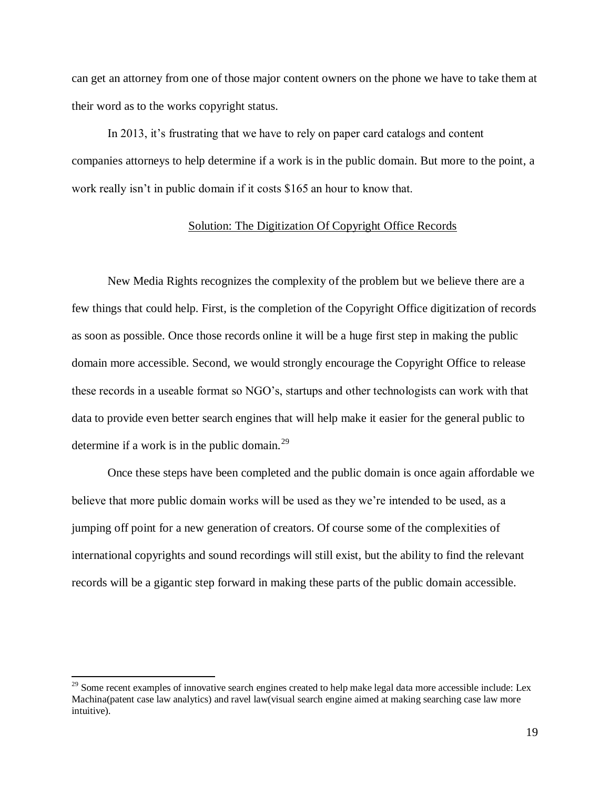can get an attorney from one of those major content owners on the phone we have to take them at their word as to the works copyright status.

In 2013, it's frustrating that we have to rely on paper card catalogs and content companies attorneys to help determine if a work is in the public domain. But more to the point, a work really isn't in public domain if it costs \$165 an hour to know that.

#### Solution: The Digitization Of Copyright Office Records

New Media Rights recognizes the complexity of the problem but we believe there are a few things that could help. First, is the completion of the Copyright Office digitization of records as soon as possible. Once those records online it will be a huge first step in making the public domain more accessible. Second, we would strongly encourage the Copyright Office to release these records in a useable format so NGO's, startups and other technologists can work with that data to provide even better search engines that will help make it easier for the general public to determine if a work is in the public domain. $^{29}$ 

Once these steps have been completed and the public domain is once again affordable we believe that more public domain works will be used as they we're intended to be used, as a jumping off point for a new generation of creators. Of course some of the complexities of international copyrights and sound recordings will still exist, but the ability to find the relevant records will be a gigantic step forward in making these parts of the public domain accessible.

<span id="page-18-0"></span> $^{29}$  Some recent examples of innovative search engines created to help make legal data more accessible include: Lex Machina(patent case law analytics) and ravel law(visual search engine aimed at making searching case law more intuitive).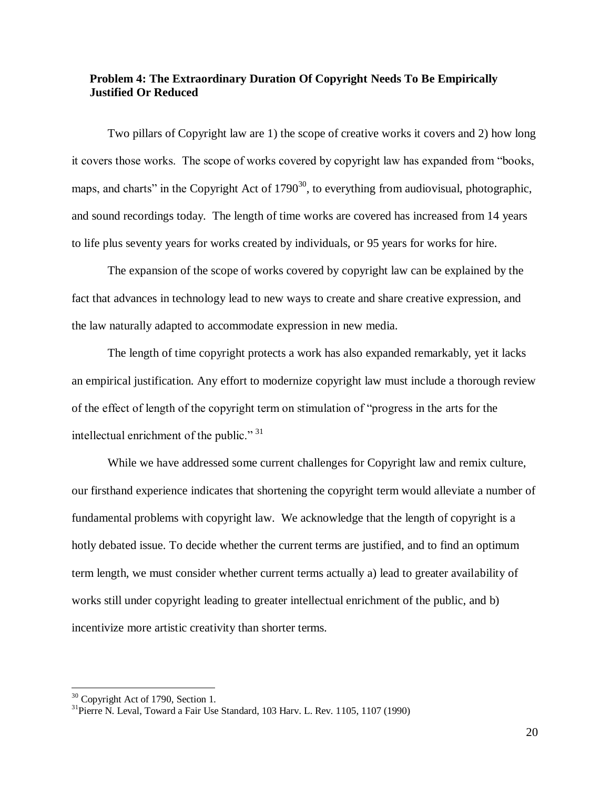### **Problem 4: The Extraordinary Duration Of Copyright Needs To Be Empirically Justified Or Reduced**

Two pillars of Copyright law are 1) the scope of creative works it covers and 2) how long it covers those works. The scope of works covered by copyright law has expanded from "books, maps, and charts" in the Copyright Act of  $1790^{30}$ , to everything from audiovisual, photographic, and sound recordings today. The length of time works are covered has increased from 14 years to life plus seventy years for works created by individuals, or 95 years for works for hire.

The expansion of the scope of works covered by copyright law can be explained by the fact that advances in technology lead to new ways to create and share creative expression, and the law naturally adapted to accommodate expression in new media.

The length of time copyright protects a work has also expanded remarkably, yet it lacks an empirical justification. Any effort to modernize copyright law must include a thorough review of the effect of length of the copyright term on stimulation of "progress in the arts for the intellectual enrichment of the public."<sup>31</sup>

While we have addressed some current challenges for Copyright law and remix culture, our firsthand experience indicates that shortening the copyright term would alleviate a number of fundamental problems with copyright law. We acknowledge that the length of copyright is a hotly debated issue. To decide whether the current terms are justified, and to find an optimum term length, we must consider whether current terms actually a) lead to greater availability of works still under copyright leading to greater intellectual enrichment of the public, and b) incentivize more artistic creativity than shorter terms.

<sup>&</sup>lt;sup>30</sup> Copyright Act of 1790, Section 1.

 $31$ Pierre N. Leval, Toward a Fair Use Standard, 103 Harv. L. Rev. 1105, 1107 (1990)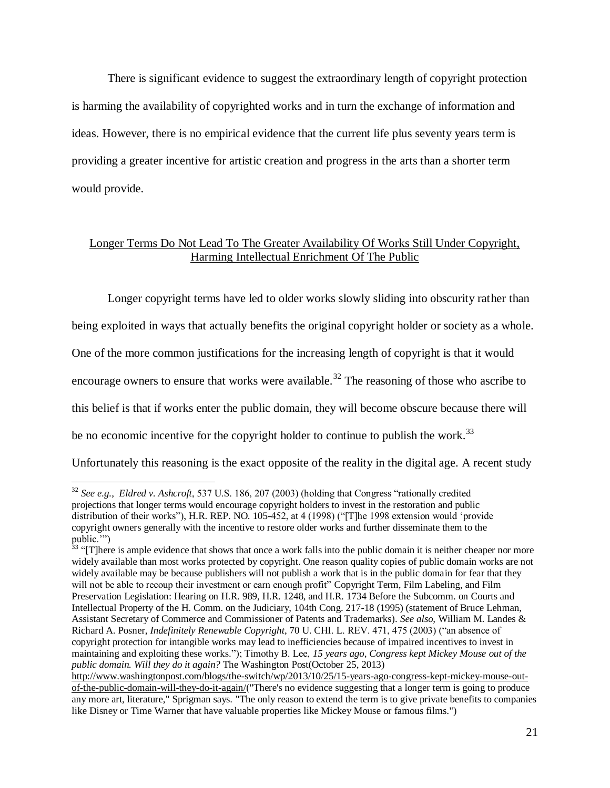There is significant evidence to suggest the extraordinary length of copyright protection is harming the availability of copyrighted works and in turn the exchange of information and ideas. However, there is no empirical evidence that the current life plus seventy years term is providing a greater incentive for artistic creation and progress in the arts than a shorter term would provide.

### Longer Terms Do Not Lead To The Greater Availability Of Works Still Under Copyright, Harming Intellectual Enrichment Of The Public

Longer copyright terms have led to older works slowly sliding into obscurity rather than

being exploited in ways that actually benefits the original copyright holder or society as a whole.

One of the more common justifications for the increasing length of copyright is that it would

encourage owners to ensure that works were available.<sup>32</sup> The reasoning of those who ascribe to

this belief is that if works enter the public domain, they will become obscure because there will

be no economic incentive for the copyright holder to continue to publish the work.<sup>33</sup>

 $\overline{a}$ 

Unfortunately this reasoning is the exact opposite of the reality in the digital age. A recent study

<sup>32</sup> *See e.g., Eldred v. Ashcroft*, 537 U.S. 186, 207 (2003) (holding that Congress "rationally credited projections that longer terms would encourage copyright holders to invest in the restoration and public distribution of their works"), H.R. REP. NO. 105-452, at 4 (1998) ("[T]he 1998 extension would 'provide copyright owners generally with the incentive to restore older works and further disseminate them to the public."

<sup>&</sup>lt;sup>33</sup> "[T]here is ample evidence that shows that once a work falls into the public domain it is neither cheaper nor more widely available than most works protected by copyright. One reason quality copies of public domain works are not widely available may be because publishers will not publish a work that is in the public domain for fear that they will not be able to recoup their investment or earn enough profit" Copyright Term, Film Labeling, and Film Preservation Legislation: Hearing on H.R. 989, H.R. 1248, and H.R. 1734 Before the Subcomm. on Courts and Intellectual Property of the H. Comm. on the Judiciary, 104th Cong. 217-18 (1995) (statement of Bruce Lehman, Assistant Secretary of Commerce and Commissioner of Patents and Trademarks). *See also,* William M. Landes & Richard A. Posner, *Indefinitely Renewable Copyright*, 70 U. CHI. L. REV. 471, 475 (2003) ("an absence of copyright protection for intangible works may lead to inefficiencies because of impaired incentives to invest in maintaining and exploiting these works."); Timothy B. Lee, *15 years ago, Congress kept Mickey Mouse out of the public domain. Will they do it again?* The Washington Post(October 25, 2013)

[http://www.washingtonpost.com/blogs/the-switch/wp/2013/10/25/15-years-ago-congress-kept-mickey-mouse-out](http://www.washingtonpost.com/blogs/the-switch/wp/2013/10/25/15-years-ago-congress-kept-mickey-mouse-out-of-the-public-domain-will-they-do-it-again/)[of-the-public-domain-will-they-do-it-again/\(](http://www.washingtonpost.com/blogs/the-switch/wp/2013/10/25/15-years-ago-congress-kept-mickey-mouse-out-of-the-public-domain-will-they-do-it-again/)"There's no evidence suggesting that a longer term is going to produce any more art, literature," Sprigman says. "The only reason to extend the term is to give private benefits to companies like Disney or Time Warner that have valuable properties like Mickey Mouse or famous films.")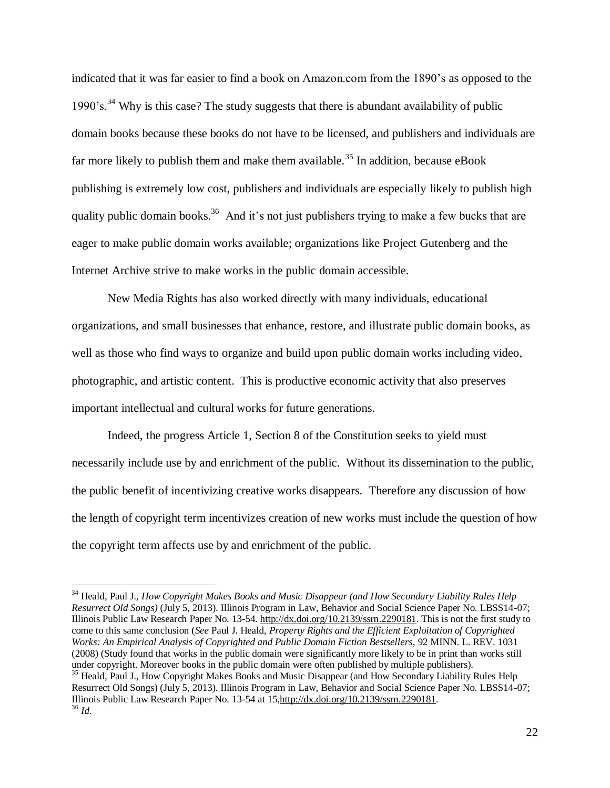indicated that it was far easier to find a book on Amazon.com from the 1890's as opposed to the 1990's.<sup>34</sup> Why is this case? The study suggests that there is abundant availability of public domain books because these books do not have to be licensed, and publishers and individuals are far more likely to publish them and make them available.<sup>35</sup> In addition, because eBook publishing is extremely low cost, publishers and individuals are especially likely to publish high quality public domain books.<sup>36</sup> And it's not just publishers trying to make a few bucks that are eager to make public domain works available; organizations like Project Gutenberg and the Internet Archive strive to make works in the public domain accessible.

New Media Rights has also worked directly with many individuals, educational organizations, and small businesses that enhance, restore, and illustrate public domain books, as well as those who find ways to organize and build upon public domain works including video, photographic, and artistic content. This is productive economic activity that also preserves important intellectual and cultural works for future generations.

Indeed, the progress Article 1, Section 8 of the Constitution seeks to yield must necessarily include use by and enrichment of the public. Without its dissemination to the public, the public benefit of incentivizing creative works disappears. Therefore any discussion of how the length of copyright term incentivizes creation of new works must include the question of how the copyright term affects use by and enrichment of the public.

<sup>34</sup> Heald, Paul J., *How Copyright Makes Books and Music Disappear (and How Secondary Liability Rules Help Resurrect Old Songs)* (July 5, 2013). Illinois Program in Law, Behavior and Social Science Paper No. LBSS14-07; Illinois Public Law Research Paper No. 13-54. [http://dx.doi.org/10.2139/ssrn.2290181.](http://dx.doi.org/10.2139/ssrn.2290181) This is not the first study to come to this same conclusion (*See* Paul J. Heald, *Property Rights and the Efficient Exploitation of Copyrighted Works: An Empirical Analysis of Copyrighted and Public Domain Fiction Bestsellers*, 92 MINN. L. REV. 1031 (2008) (Study found that works in the public domain were significantly more likely to be in print than works still under copyright. Moreover books in the public domain were often published by multiple publishers). <sup>35</sup> Heald, Paul J., How Copyright Makes Books and Music Disappear (and How Secondary Liability Rules Help Resurrect Old Songs) (July 5, 2013). Illinois Program in Law, Behavior and Social Science Paper No. LBSS14-07; Illinois Public Law Research Paper No. 13-54 at 15[,http://dx.doi.org/10.2139/ssrn.2290181.](http://dx.doi.org/10.2139/ssrn.2290181) <sup>36</sup> *Id.*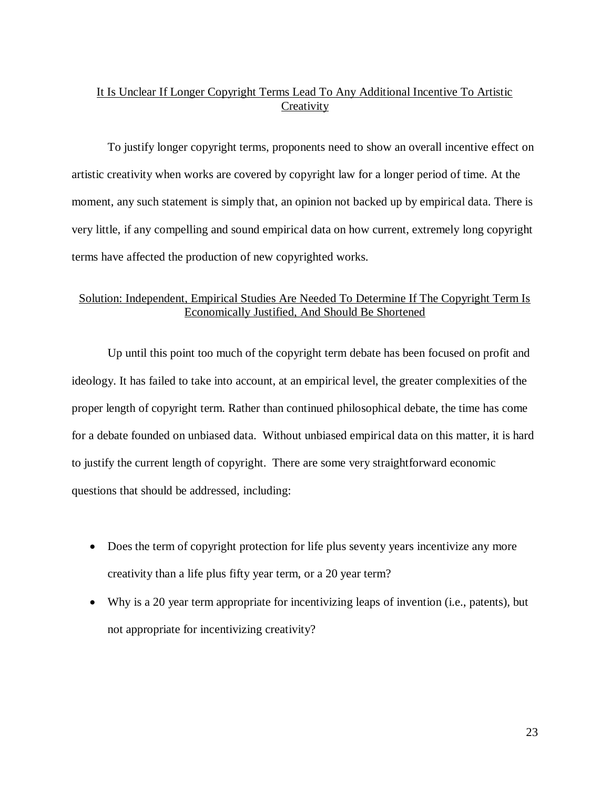# It Is Unclear If Longer Copyright Terms Lead To Any Additional Incentive To Artistic **Creativity**

To justify longer copyright terms, proponents need to show an overall incentive effect on artistic creativity when works are covered by copyright law for a longer period of time. At the moment, any such statement is simply that, an opinion not backed up by empirical data. There is very little, if any compelling and sound empirical data on how current, extremely long copyright terms have affected the production of new copyrighted works.

### Solution: Independent, Empirical Studies Are Needed To Determine If The Copyright Term Is Economically Justified, And Should Be Shortened

Up until this point too much of the copyright term debate has been focused on profit and ideology. It has failed to take into account, at an empirical level, the greater complexities of the proper length of copyright term. Rather than continued philosophical debate, the time has come for a debate founded on unbiased data. Without unbiased empirical data on this matter, it is hard to justify the current length of copyright. There are some very straightforward economic questions that should be addressed, including:

- Does the term of copyright protection for life plus seventy years incentivize any more creativity than a life plus fifty year term, or a 20 year term?
- Why is a 20 year term appropriate for incentivizing leaps of invention (i.e., patents), but not appropriate for incentivizing creativity?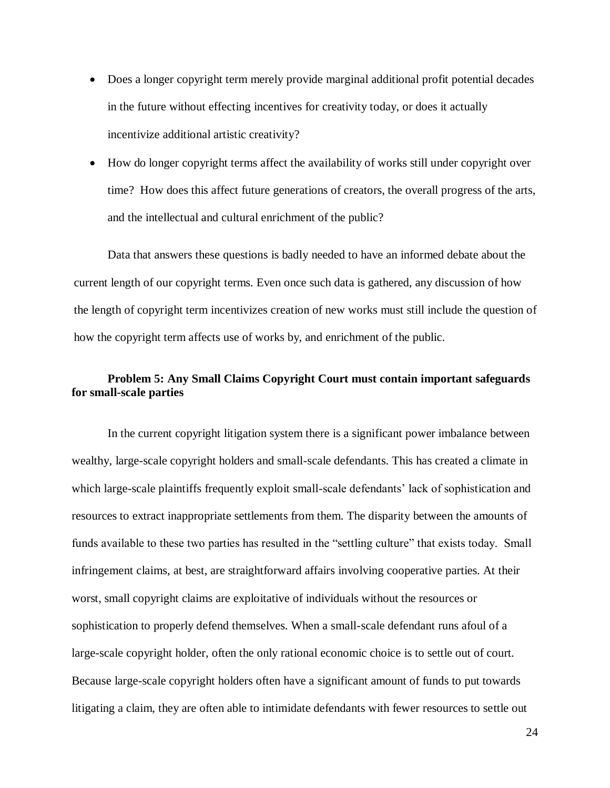- Does a longer copyright term merely provide marginal additional profit potential decades in the future without effecting incentives for creativity today, or does it actually incentivize additional artistic creativity?
- How do longer copyright terms affect the availability of works still under copyright over time? How does this affect future generations of creators, the overall progress of the arts, and the intellectual and cultural enrichment of the public?

Data that answers these questions is badly needed to have an informed debate about the current length of our copyright terms. Even once such data is gathered, any discussion of how the length of copyright term incentivizes creation of new works must still include the question of how the copyright term affects use of works by, and enrichment of the public.

### <span id="page-23-0"></span>**Problem 5: Any Small Claims Copyright Court must contain important safeguards for small-scale parties**

In the current copyright litigation system there is a significant power imbalance between wealthy, large-scale copyright holders and small-scale defendants. This has created a climate in which large-scale plaintiffs frequently exploit small-scale defendants' lack of sophistication and resources to extract inappropriate settlements from them. The disparity between the amounts of funds available to these two parties has resulted in the "settling culture" that exists today. Small infringement claims, at best, are straightforward affairs involving cooperative parties. At their worst, small copyright claims are exploitative of individuals without the resources or sophistication to properly defend themselves. When a small-scale defendant runs afoul of a large-scale copyright holder, often the only rational economic choice is to settle out of court. Because large-scale copyright holders often have a significant amount of funds to put towards litigating a claim, they are often able to intimidate defendants with fewer resources to settle out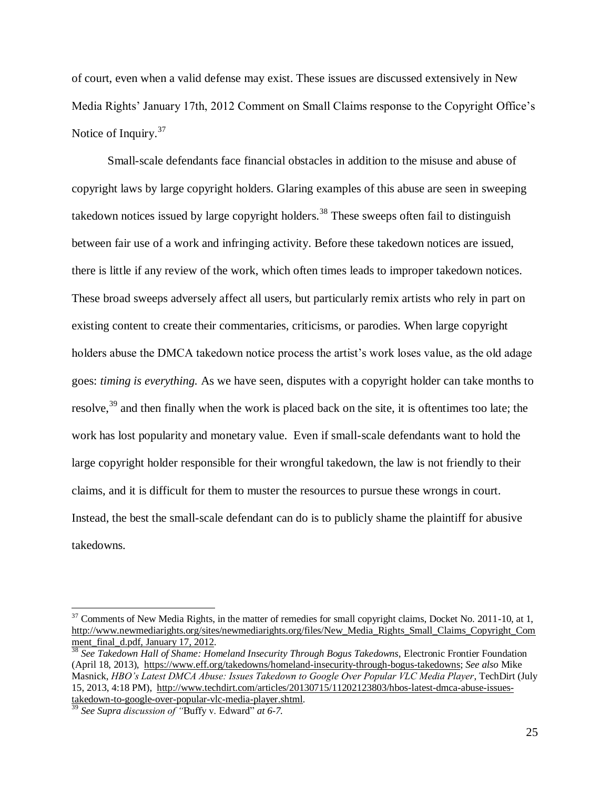of court, even when a valid defense may exist. These issues are discussed extensively in New Media Rights' January 17th, 2012 Comment on Small Claims response to the Copyright Office's Notice of Inquiry.<sup>37</sup>

Small-scale defendants face financial obstacles in addition to the misuse and abuse of copyright laws by large copyright holders. Glaring examples of this abuse are seen in sweeping takedown notices issued by large copyright holders.<sup>38</sup> These sweeps often fail to distinguish between fair use of a work and infringing activity. Before these takedown notices are issued, there is little if any review of the work, which often times leads to improper takedown notices. These broad sweeps adversely affect all users, but particularly remix artists who rely in part on existing content to create their commentaries, criticisms, or parodies. When large copyright holders abuse the DMCA takedown notice process the artist's work loses value, as the old adage goes: *timing is everything.* As we have seen, disputes with a copyright holder can take months to resolve,<sup>39</sup> and then finally when the work is placed back on the site, it is oftentimes too late; the work has lost popularity and monetary value. Even if small-scale defendants want to hold the large copyright holder responsible for their wrongful takedown, the law is not friendly to their claims, and it is difficult for them to muster the resources to pursue these wrongs in court. Instead, the best the small-scale defendant can do is to publicly shame the plaintiff for abusive takedowns.

 $37$  Comments of New Media Rights, in the matter of remedies for small copyright claims, Docket No. 2011-10, at 1, [http://www.newmediarights.org/sites/newmediarights.org/files/New\\_Media\\_Rights\\_Small\\_Claims\\_Copyright\\_Com](http://www.newmediarights.org/sites/newmediarights.org/files/New_Media_Rights_Small_Claims_Copyright_Comment_final_d.pdf,%20January%2017,%202012) [ment\\_final\\_d.pdf, January 17, 2012.](http://www.newmediarights.org/sites/newmediarights.org/files/New_Media_Rights_Small_Claims_Copyright_Comment_final_d.pdf,%20January%2017,%202012)

<sup>38</sup> *See Takedown Hall of Shame: Homeland Insecurity Through Bogus Takedowns*, Electronic Frontier Foundation (April 18, 2013), [https://www.eff.org/takedowns/homeland-insecurity-through-bogus-takedowns;](https://www.eff.org/takedowns/homeland-insecurity-through-bogus-takedowns) *See also* Mike Masnick, *HBO's Latest DMCA Abuse: Issues Takedown to Google Over Popular VLC Media Player*, TechDirt (July 15, 2013, 4:18 PM), [http://www.techdirt.com/articles/20130715/11202123803/hbos-latest-dmca-abuse-issues](http://www.techdirt.com/articles/20130715/11202123803/hbos-latest-dmca-abuse-issues-takedown-to-google-over-popular-vlc-media-player.shtml)[takedown-to-google-over-popular-vlc-media-player.shtml.](http://www.techdirt.com/articles/20130715/11202123803/hbos-latest-dmca-abuse-issues-takedown-to-google-over-popular-vlc-media-player.shtml)

<sup>39</sup> *See Supra discussion of "*Buffy v. Edward" *at 6-7.*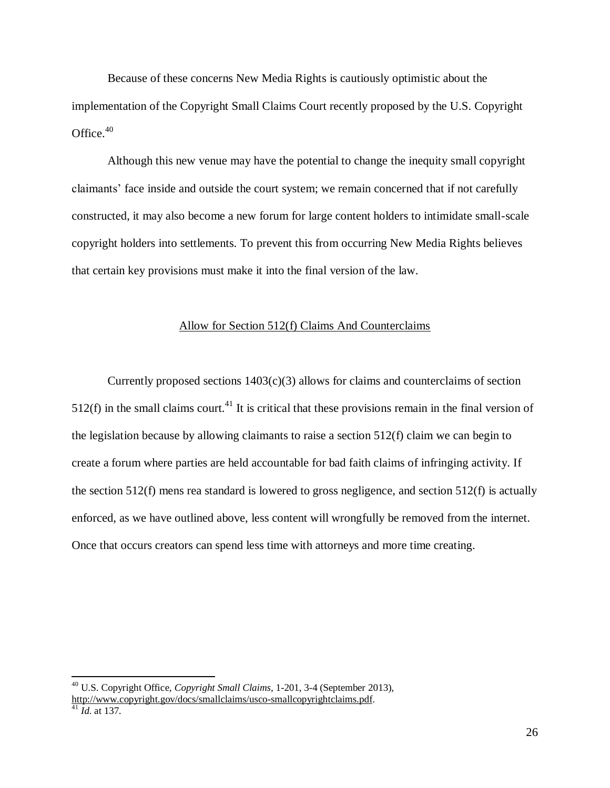Because of these concerns New Media Rights is cautiously optimistic about the implementation of the Copyright Small Claims Court recently proposed by the U.S. Copyright Office. $40$ 

Although this new venue may have the potential to change the inequity small copyright claimants' face inside and outside the court system; we remain concerned that if not carefully constructed, it may also become a new forum for large content holders to intimidate small-scale copyright holders into settlements. To prevent this from occurring New Media Rights believes that certain key provisions must make it into the final version of the law.

#### Allow for Section 512(f) Claims And Counterclaims

Currently proposed sections  $1403(c)(3)$  allows for claims and counterclaims of section  $512(f)$  in the small claims court.<sup>41</sup> It is critical that these provisions remain in the final version of the legislation because by allowing claimants to raise a section 512(f) claim we can begin to create a forum where parties are held accountable for bad faith claims of infringing activity. If the section  $512(f)$  mens rea standard is lowered to gross negligence, and section  $512(f)$  is actually enforced, as we have outlined above, less content will wrongfully be removed from the internet. Once that occurs creators can spend less time with attorneys and more time creating.

<sup>40</sup> U.S. Copyright Office, *Copyright Small Claims*, 1-201, 3-4 (September 2013), [http://www.copyright.gov/docs/smallclaims/usco-smallcopyrightclaims.pdf.](http://www.copyright.gov/docs/smallclaims/usco-smallcopyrightclaims.pdf)

 $41$  *Id.* at 137.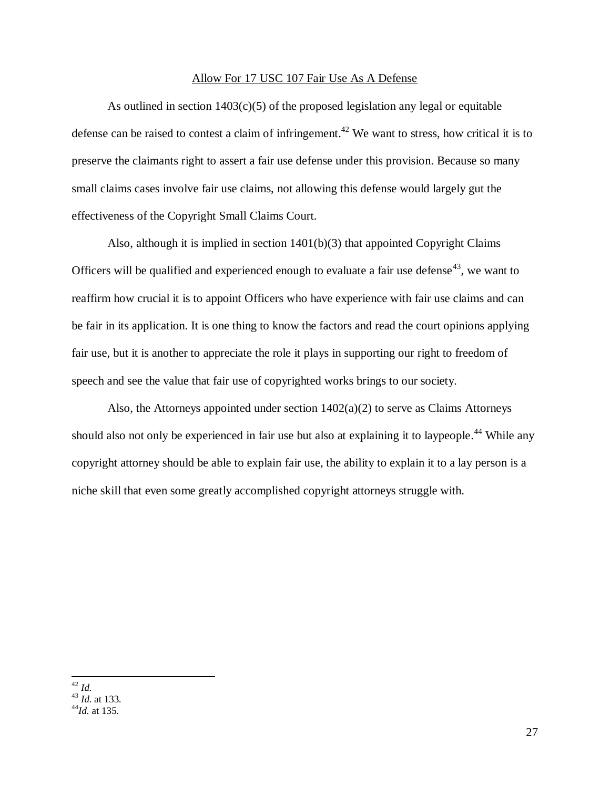#### Allow For 17 USC 107 Fair Use As A Defense

As outlined in section  $1403(c)(5)$  of the proposed legislation any legal or equitable defense can be raised to contest a claim of infringement.<sup>42</sup> We want to stress, how critical it is to preserve the claimants right to assert a fair use defense under this provision. Because so many small claims cases involve fair use claims, not allowing this defense would largely gut the effectiveness of the Copyright Small Claims Court.

Also, although it is implied in section 1401(b)(3) that appointed Copyright Claims Officers will be qualified and experienced enough to evaluate a fair use defense<sup>43</sup>, we want to reaffirm how crucial it is to appoint Officers who have experience with fair use claims and can be fair in its application. It is one thing to know the factors and read the court opinions applying fair use, but it is another to appreciate the role it plays in supporting our right to freedom of speech and see the value that fair use of copyrighted works brings to our society.

Also, the Attorneys appointed under section  $1402(a)(2)$  to serve as Claims Attorneys should also not only be experienced in fair use but also at explaining it to laypeople.<sup>44</sup> While any copyright attorney should be able to explain fair use, the ability to explain it to a lay person is a niche skill that even some greatly accomplished copyright attorneys struggle with.

 $\overline{a}$ <sup>42</sup> *Id.*

<sup>43</sup> *Id.* at 133.

 $^{44}$ *Id.* at 135.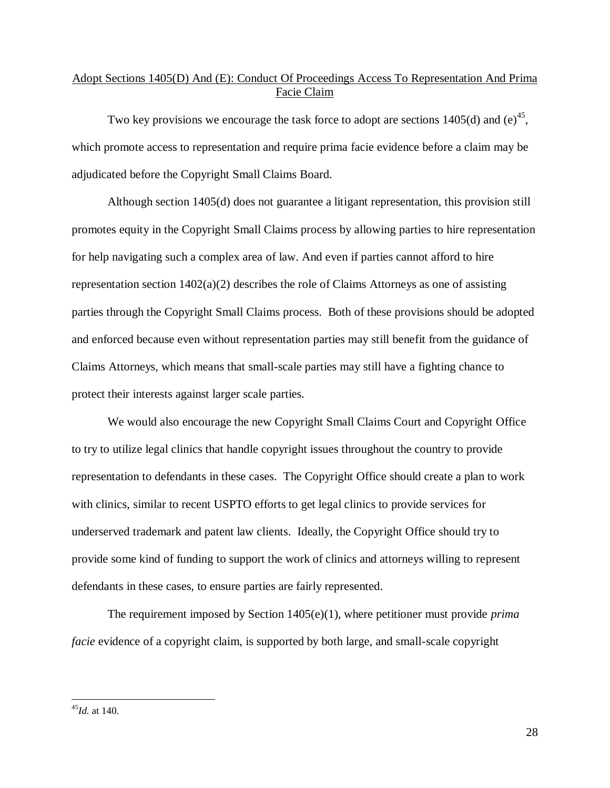# Adopt Sections 1405(D) And (E): Conduct Of Proceedings Access To Representation And Prima Facie Claim

Two key provisions we encourage the task force to adopt are sections 1405(d) and (e)<sup>45</sup>, which promote access to representation and require prima facie evidence before a claim may be adjudicated before the Copyright Small Claims Board.

Although section 1405(d) does not guarantee a litigant representation, this provision still promotes equity in the Copyright Small Claims process by allowing parties to hire representation for help navigating such a complex area of law. And even if parties cannot afford to hire representation section 1402(a)(2) describes the role of Claims Attorneys as one of assisting parties through the Copyright Small Claims process. Both of these provisions should be adopted and enforced because even without representation parties may still benefit from the guidance of Claims Attorneys, which means that small-scale parties may still have a fighting chance to protect their interests against larger scale parties.

We would also encourage the new Copyright Small Claims Court and Copyright Office to try to utilize legal clinics that handle copyright issues throughout the country to provide representation to defendants in these cases. The Copyright Office should create a plan to work with clinics, similar to recent USPTO efforts to get legal clinics to provide services for underserved trademark and patent law clients. Ideally, the Copyright Office should try to provide some kind of funding to support the work of clinics and attorneys willing to represent defendants in these cases, to ensure parties are fairly represented.

The requirement imposed by Section 1405(e)(1), where petitioner must provide *prima facie* evidence of a copyright claim, is supported by both large, and small-scale copyright

<sup>45</sup>*Id.* at 140.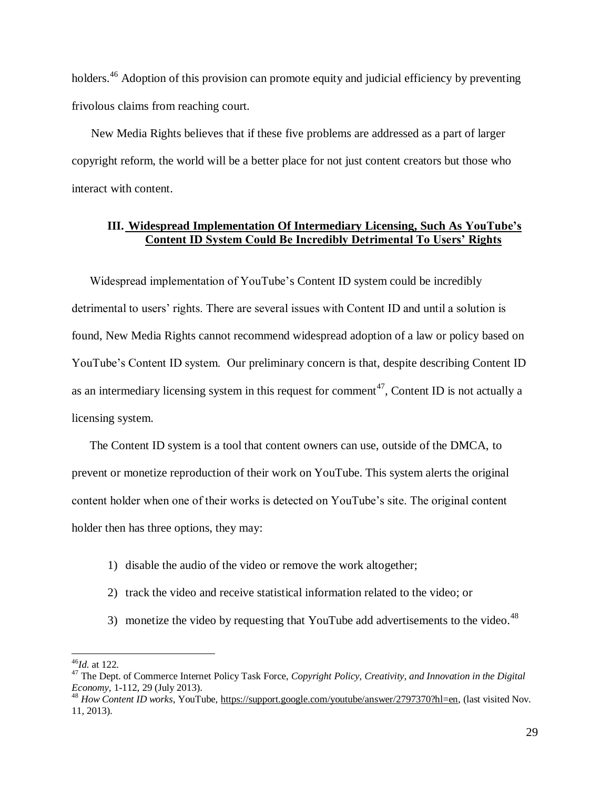holders.<sup>46</sup> Adoption of this provision can promote equity and judicial efficiency by preventing frivolous claims from reaching court.

New Media Rights believes that if these five problems are addressed as a part of larger copyright reform, the world will be a better place for not just content creators but those who interact with content.

#### <span id="page-28-0"></span>**III. Widespread Implementation Of Intermediary Licensing, Such As YouTube's Content ID System Could Be Incredibly Detrimental To Users' Rights**

Widespread implementation of YouTube's Content ID system could be incredibly detrimental to users' rights. There are several issues with Content ID and until a solution is found, New Media Rights cannot recommend widespread adoption of a law or policy based on YouTube's Content ID system. Our preliminary concern is that, despite describing Content ID as an intermediary licensing system in this request for comment<sup>47</sup>, Content ID is not actually a licensing system.

The Content ID system is a tool that content owners can use, outside of the DMCA, to prevent or monetize reproduction of their work on YouTube. This system alerts the original content holder when one of their works is detected on YouTube's site. The original content holder then has three options, they may:

- 1) disable the audio of the video or remove the work altogether;
- 2) track the video and receive statistical information related to the video; or
- 3) monetize the video by requesting that YouTube add advertisements to the video.<sup>48</sup>

<sup>46</sup>*Id.* at 122.

<sup>&</sup>lt;sup>47</sup> The Dept. of Commerce Internet Policy Task Force, *Copyright Policy, Creativity, and Innovation in the Digital Economy,* 1-112, 29 (July 2013).

<sup>48</sup> *How Content ID works*, YouTube, [https://support.google.com/youtube/answer/2797370?hl=en,](https://support.google.com/youtube/answer/2797370?hl=en) (last visited Nov. 11, 2013).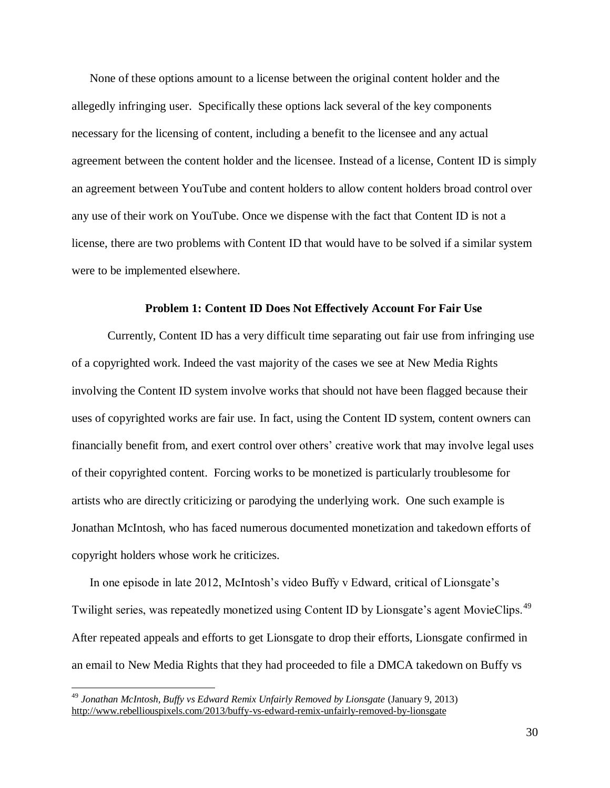None of these options amount to a license between the original content holder and the allegedly infringing user. Specifically these options lack several of the key components necessary for the licensing of content, including a benefit to the licensee and any actual agreement between the content holder and the licensee. Instead of a license, Content ID is simply an agreement between YouTube and content holders to allow content holders broad control over any use of their work on YouTube. Once we dispense with the fact that Content ID is not a license, there are two problems with Content ID that would have to be solved if a similar system were to be implemented elsewhere.

#### **Problem 1: Content ID Does Not Effectively Account For Fair Use**

Currently, Content ID has a very difficult time separating out fair use from infringing use of a copyrighted work. Indeed the vast majority of the cases we see at New Media Rights involving the Content ID system involve works that should not have been flagged because their uses of copyrighted works are fair use. In fact, using the Content ID system, content owners can financially benefit from, and exert control over others' creative work that may involve legal uses of their copyrighted content. Forcing works to be monetized is particularly troublesome for artists who are directly criticizing or parodying the underlying work. One such example is Jonathan McIntosh, who has faced numerous documented monetization and takedown efforts of copyright holders whose work he criticizes.

In one episode in late 2012, McIntosh's video Buffy v Edward, critical of Lionsgate's Twilight series, was repeatedly monetized using Content ID by Lionsgate's agent MovieClips.<sup>49</sup> After repeated appeals and efforts to get Lionsgate to drop their efforts, Lionsgate confirmed in an email to New Media Rights that they had proceeded to file a DMCA takedown on Buffy vs

<sup>49</sup> *Jonathan McIntosh, Buffy vs Edward Remix Unfairly Removed by Lionsgate* (January 9, 2013) <http://www.rebelliouspixels.com/2013/buffy-vs-edward-remix-unfairly-removed-by-lionsgate>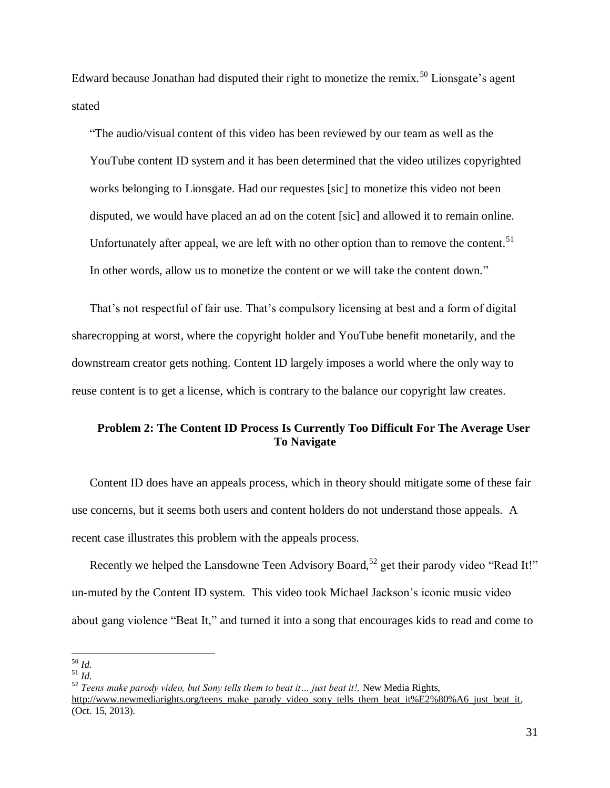Edward because Jonathan had disputed their right to monetize the remix.<sup>50</sup> Lionsgate's agent stated

"The audio/visual content of this video has been reviewed by our team as well as the YouTube content ID system and it has been determined that the video utilizes copyrighted works belonging to Lionsgate. Had our requestes [sic] to monetize this video not been disputed, we would have placed an ad on the cotent [sic] and allowed it to remain online. Unfortunately after appeal, we are left with no other option than to remove the content.<sup>51</sup> In other words, allow us to monetize the content or we will take the content down."

That's not respectful of fair use. That's compulsory licensing at best and a form of digital sharecropping at worst, where the copyright holder and YouTube benefit monetarily, and the downstream creator gets nothing. Content ID largely imposes a world where the only way to reuse content is to get a license, which is contrary to the balance our copyright law creates.

## **Problem 2: The Content ID Process Is Currently Too Difficult For The Average User To Navigate**

Content ID does have an appeals process, which in theory should mitigate some of these fair use concerns, but it seems both users and content holders do not understand those appeals. A recent case illustrates this problem with the appeals process.

Recently we helped the Lansdowne Teen Advisory Board,<sup>52</sup> get their parody video "Read It!" un-muted by the Content ID system. This video took Michael Jackson's iconic music video about gang violence "Beat It," and turned it into a song that encourages kids to read and come to

 $\overline{a}$ <sup>50</sup> *Id.*

<sup>51</sup> *Id.*

<sup>52</sup> *Teens make parody video, but Sony tells them to beat it… just beat it!,* New Media Rights, [http://www.newmediarights.org/teens\\_make\\_parody\\_video\\_sony\\_tells\\_them\\_beat\\_it%E2%80%A6\\_just\\_beat\\_it,](http://www.newmediarights.org/teens_make_parody_video_sony_tells_them_beat_it%E2%80%A6_just_beat_it) (Oct. 15, 2013).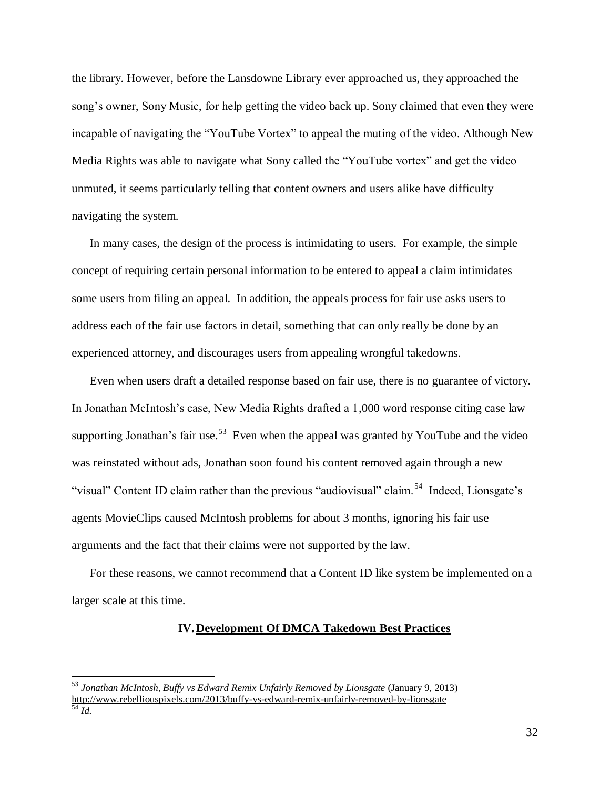the library. However, before the Lansdowne Library ever approached us, they approached the song's owner, Sony Music, for help getting the video back up. Sony claimed that even they were incapable of navigating the "YouTube Vortex" to appeal the muting of the video. Although New Media Rights was able to navigate what Sony called the "YouTube vortex" and get the video unmuted, it seems particularly telling that content owners and users alike have difficulty navigating the system.

In many cases, the design of the process is intimidating to users. For example, the simple concept of requiring certain personal information to be entered to appeal a claim intimidates some users from filing an appeal. In addition, the appeals process for fair use asks users to address each of the fair use factors in detail, something that can only really be done by an experienced attorney, and discourages users from appealing wrongful takedowns.

Even when users draft a detailed response based on fair use, there is no guarantee of victory. In Jonathan McIntosh's case, New Media Rights drafted a 1,000 word response citing case law supporting Jonathan's fair use.<sup>53</sup> Even when the appeal was granted by YouTube and the video was reinstated without ads, Jonathan soon found his content removed again through a new "visual" Content ID claim rather than the previous "audiovisual" claim.<sup>54</sup> Indeed, Lionsgate's agents MovieClips caused McIntosh problems for about 3 months, ignoring his fair use arguments and the fact that their claims were not supported by the law.

<span id="page-31-0"></span>For these reasons, we cannot recommend that a Content ID like system be implemented on a larger scale at this time.

#### **IV. Development Of DMCA Takedown Best Practices**

<sup>53</sup> *Jonathan McIntosh, Buffy vs Edward Remix Unfairly Removed by Lionsgate* (January 9, 2013) <http://www.rebelliouspixels.com/2013/buffy-vs-edward-remix-unfairly-removed-by-lionsgate>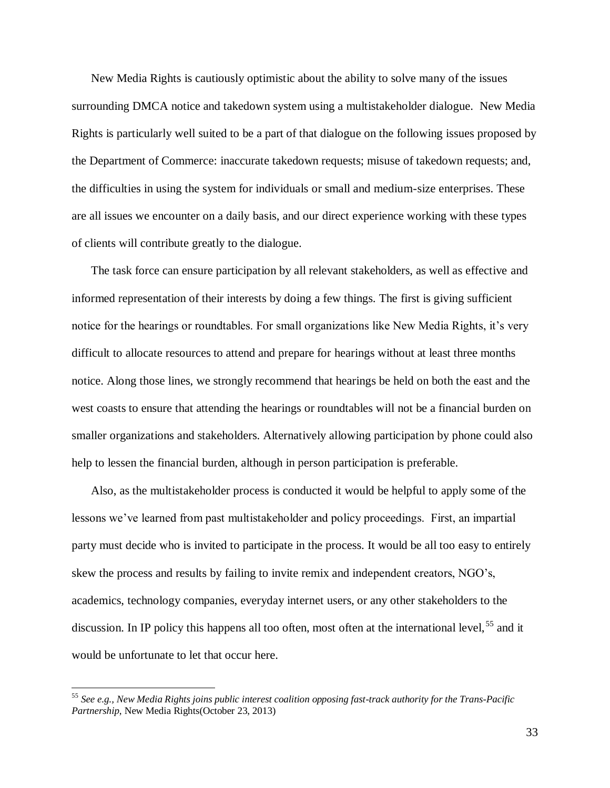New Media Rights is cautiously optimistic about the ability to solve many of the issues surrounding DMCA notice and takedown system using a multistakeholder dialogue. New Media Rights is particularly well suited to be a part of that dialogue on the following issues proposed by the Department of Commerce: inaccurate takedown requests; misuse of takedown requests; and, the difficulties in using the system for individuals or small and medium-size enterprises. These are all issues we encounter on a daily basis, and our direct experience working with these types of clients will contribute greatly to the dialogue.

The task force can ensure participation by all relevant stakeholders, as well as effective and informed representation of their interests by doing a few things. The first is giving sufficient notice for the hearings or roundtables. For small organizations like New Media Rights, it's very difficult to allocate resources to attend and prepare for hearings without at least three months notice. Along those lines, we strongly recommend that hearings be held on both the east and the west coasts to ensure that attending the hearings or roundtables will not be a financial burden on smaller organizations and stakeholders. Alternatively allowing participation by phone could also help to lessen the financial burden, although in person participation is preferable.

Also, as the multistakeholder process is conducted it would be helpful to apply some of the lessons we've learned from past multistakeholder and policy proceedings. First, an impartial party must decide who is invited to participate in the process. It would be all too easy to entirely skew the process and results by failing to invite remix and independent creators, NGO's, academics, technology companies, everyday internet users, or any other stakeholders to the discussion. In IP policy this happens all too often, most often at the international level, <sup>55</sup> and it would be unfortunate to let that occur here.

<sup>55</sup> *See e.g., New Media Rights joins public interest coalition opposing fast-track authority for the Trans-Pacific Partnership*, New Media Rights(October 23, 2013)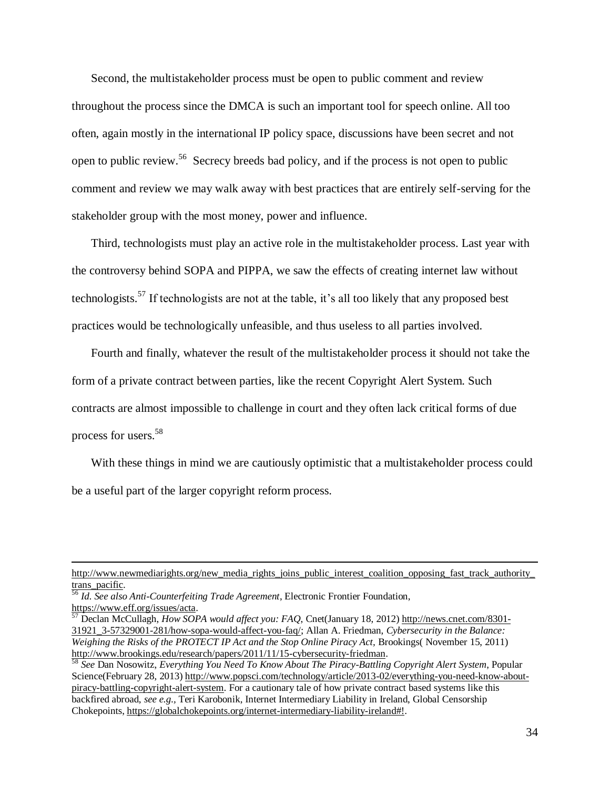Second, the multistakeholder process must be open to public comment and review throughout the process since the DMCA is such an important tool for speech online. All too often, again mostly in the international IP policy space, discussions have been secret and not open to public review.<sup>56</sup> Secrecy breeds bad policy, and if the process is not open to public comment and review we may walk away with best practices that are entirely self-serving for the stakeholder group with the most money, power and influence.

Third, technologists must play an active role in the multistakeholder process. Last year with the controversy behind SOPA and PIPPA, we saw the effects of creating internet law without technologists.<sup>57</sup> If technologists are not at the table, it's all too likely that any proposed best practices would be technologically unfeasible, and thus useless to all parties involved.

Fourth and finally, whatever the result of the multistakeholder process it should not take the form of a private contract between parties, like the recent Copyright Alert System. Such contracts are almost impossible to challenge in court and they often lack critical forms of due process for users.<sup>58</sup>

With these things in mind we are cautiously optimistic that a multistakeholder process could be a useful part of the larger copyright reform process.

[http://www.newmediarights.org/new\\_media\\_rights\\_joins\\_public\\_interest\\_coalition\\_opposing\\_fast\\_track\\_authority\\_](http://www.newmediarights.org/new_media_rights_joins_public_interest_coalition_opposing_fast_track_authority_trans_pacific) [trans\\_pacific.](http://www.newmediarights.org/new_media_rights_joins_public_interest_coalition_opposing_fast_track_authority_trans_pacific)

<sup>56</sup> *Id. See also Anti-Counterfeiting Trade Agreement*, Electronic Frontier Foundation, [https://www.eff.org/issues/acta.](https://www.eff.org/issues/acta)

<sup>57</sup> Declan McCullagh, *How SOPA would affect you: FAQ*, Cnet(January 18, 2012[\) http://news.cnet.com/8301-](http://news.cnet.com/8301-31921_3-57329001-281/how-sopa-would-affect-you-faq/) [31921\\_3-57329001-281/how-sopa-would-affect-you-faq/;](http://news.cnet.com/8301-31921_3-57329001-281/how-sopa-would-affect-you-faq/) Allan A. Friedman, *Cybersecurity in the Balance: Weighing the Risks of the PROTECT IP Act and the Stop Online Piracy Act, Brookings* (November 15, 2011) [http://www.brookings.edu/research/papers/2011/11/15-cybersecurity-friedman.](http://www.brookings.edu/research/papers/2011/11/15-cybersecurity-friedman)

<sup>58</sup> *See* Dan Nosowitz, *Everything You Need To Know About The Piracy-Battling Copyright Alert System*, Popular Science(February 28, 2013) [http://www.popsci.com/technology/article/2013-02/everything-you-need-know-about](http://www.popsci.com/technology/article/2013-02/everything-you-need-know-about-piracy-battling-copyright-alert-system)[piracy-battling-copyright-alert-system.](http://www.popsci.com/technology/article/2013-02/everything-you-need-know-about-piracy-battling-copyright-alert-system) For a cautionary tale of how private contract based systems like this backfired abroad, *see e.g.,* Teri Karobonik, Internet Intermediary Liability in Ireland, Global Censorship Chokepoints[, https://globalchokepoints.org/internet-intermediary-liability-ireland#!.](https://globalchokepoints.org/internet-intermediary-liability-ireland%23!)